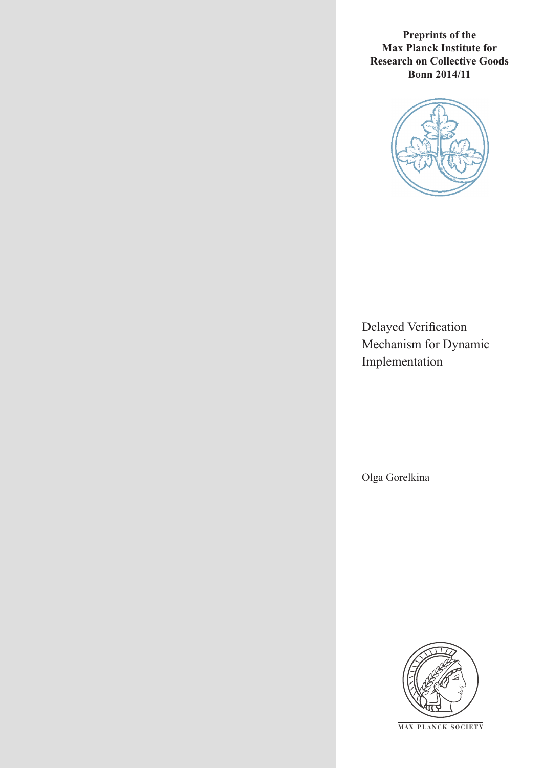**Preprints of the Max Planck Institute for Research on Collective Goods Bonn 2014/11**



Delayed Verification Mechanism for Dynamic Implementation

Olga Gorelkina



**M AX PLANCK SOCIETY**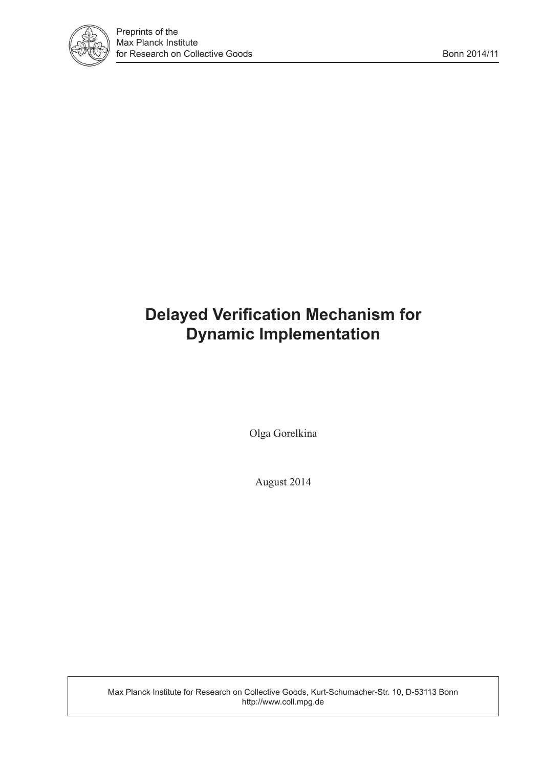

# **Delayed Verification Mechanism for Dynamic Implementation**

Olga Gorelkina

August 2014

Max Planck Institute for Research on Collective Goods, Kurt-Schumacher-Str. 10, D-53113 Bonn http://www.coll.mpg.de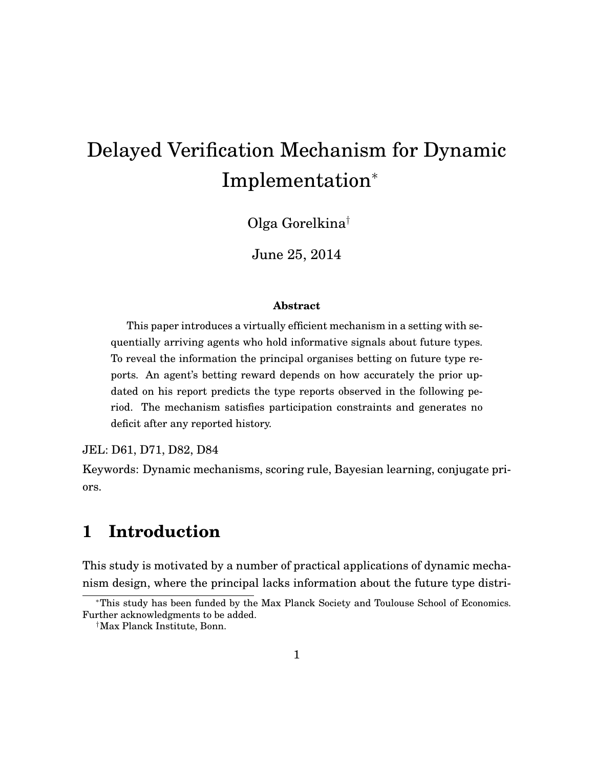# Delayed Verification Mechanism for Dynamic Implementation<sup>∗</sup>

Olga Gorelkina†

June 25, 2014

#### **Abstract**

This paper introduces a virtually efficient mechanism in a setting with sequentially arriving agents who hold informative signals about future types. To reveal the information the principal organises betting on future type reports. An agent's betting reward depends on how accurately the prior updated on his report predicts the type reports observed in the following period. The mechanism satisfies participation constraints and generates no deficit after any reported history.

JEL: D61, D71, D82, D84

Keywords: Dynamic mechanisms, scoring rule, Bayesian learning, conjugate priors.

# **1 Introduction**

This study is motivated by a number of practical applications of dynamic mechanism design, where the principal lacks information about the future type distri-

<sup>∗</sup>This study has been funded by the Max Planck Society and Toulouse School of Economics. Further acknowledgments to be added.

<sup>†</sup>Max Planck Institute, Bonn.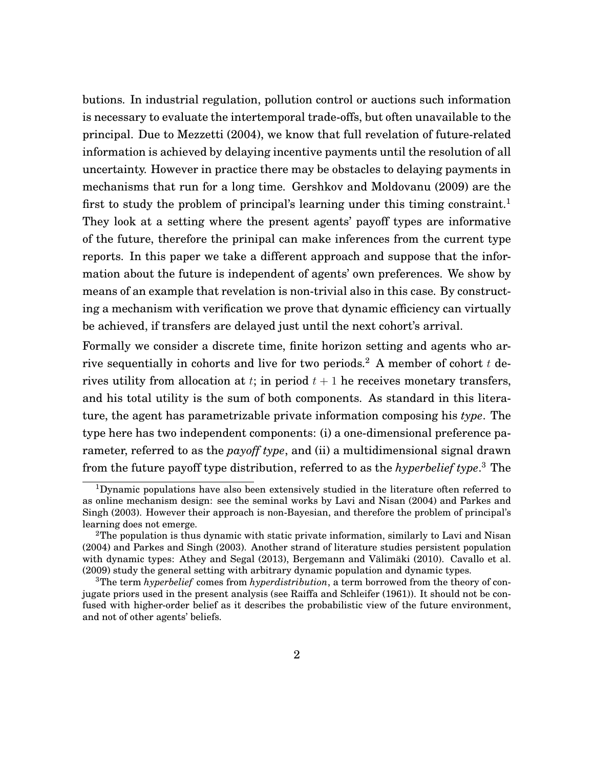<span id="page-3-3"></span>butions. In industrial regulation, pollution control or auctions such information is necessary to evaluate the intertemporal trade-offs, but often unavailable to the principal. Due to [Mezzetti](#page-40-0) [\(2004\)](#page-40-0), we know that full revelation of future-related information is achieved by delaying incentive payments until the resolution of all uncertainty. However in practice there may be obstacles to delaying payments in mechanisms that run for a long time. [Gershkov and Moldovanu](#page-39-0) [\(2009\)](#page-39-0) are the first to study the problem of principal's learning under this timing constraint.<sup>[1](#page-3-0)</sup> They look at a setting where the present agents' payoff types are informative of the future, therefore the prinipal can make inferences from the current type reports. In this paper we take a different approach and suppose that the information about the future is independent of agents' own preferences. We show by means of an example that revelation is non-trivial also in this case. By constructing a mechanism with verification we prove that dynamic efficiency can virtually be achieved, if transfers are delayed just until the next cohort's arrival.

Formally we consider a discrete time, finite horizon setting and agents who ar-rive sequentially in cohorts and live for two periods.<sup>[2](#page-3-1)</sup> A member of cohort  $t$  derives utility from allocation at t; in period  $t + 1$  he receives monetary transfers, and his total utility is the sum of both components. As standard in this literature, the agent has parametrizable private information composing his *type*. The type here has two independent components: (i) a one-dimensional preference parameter, referred to as the *payoff type*, and (ii) a multidimensional signal drawn from the future payoff type distribution, referred to as the *hyperbelief type*. [3](#page-3-2) The

<span id="page-3-0"></span><sup>&</sup>lt;sup>1</sup>Dynamic populations have also been extensively studied in the literature often referred to as online mechanism design: see the seminal works by [Lavi and Nisan](#page-40-1) [\(2004\)](#page-40-1) and [Parkes and](#page-40-2) [Singh](#page-40-2) [\(2003\)](#page-40-2). However their approach is non-Bayesian, and therefore the problem of principal's learning does not emerge.

<span id="page-3-1"></span><sup>&</sup>lt;sup>2</sup>The population is thus dynamic with static private information, similarly to [Lavi and Nisan](#page-40-1) [\(2004\)](#page-40-1) and [Parkes and Singh](#page-40-2) [\(2003\)](#page-40-2). Another strand of literature studies persistent population with dynamic types: [Athey and Segal](#page-38-0) [\(2013\)](#page-38-0), [Bergemann and Välimäki](#page-39-1) [\(2010\)](#page-39-1). [Cavallo et al.](#page-39-2) [\(2009\)](#page-39-2) study the general setting with arbitrary dynamic population and dynamic types.

<span id="page-3-2"></span><sup>3</sup>The term *hyperbelief* comes from *hyperdistribution*, a term borrowed from the theory of conjugate priors used in the present analysis (see [Raiffa and Schleifer](#page-40-3) [\(1961\)](#page-40-3)). It should not be confused with higher-order belief as it describes the probabilistic view of the future environment, and not of other agents' beliefs.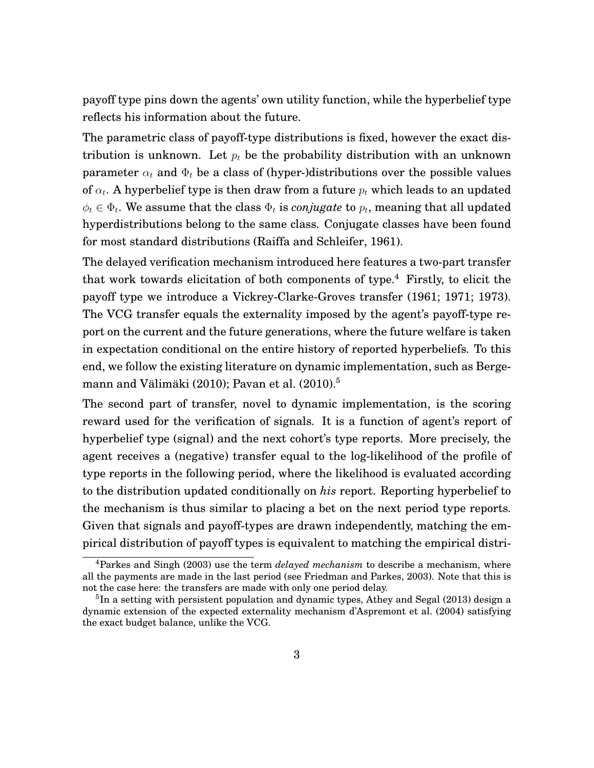<span id="page-4-2"></span>payoff type pins down the agents' own utility function, while the hyperbelief type reflects his information about the future.

The parametric class of payoff-type distributions is fixed, however the exact distribution is unknown. Let  $p_t$  be the probability distribution with an unknown parameter  $\alpha_t$  and  $\Phi_t$  be a class of (hyper-)distributions over the possible values of  $\alpha_t.$  A hyperbelief type is then draw from a future  $p_t$  which leads to an updated  $\phi_t \in \Phi_t.$  We assume that the class  $\Phi_t$  is *conjugate* to  $p_t,$  meaning that all updated hyperdistributions belong to the same class. Conjugate classes have been found for most standard distributions [\(Raiffa and Schleifer, 1961\)](#page-40-3).

The delayed verification mechanism introduced here features a two-part transfer that work towards elicitation of both components of type.<sup>[4](#page-4-0)</sup> Firstly, to elicit the payoff type we introduce a Vickrey-Clarke-Groves transfer [\(1961;](#page-40-4) [1971;](#page-39-3) [1973\)](#page-39-4). The VCG transfer equals the externality imposed by the agent's payoff-type report on the current and the future generations, where the future welfare is taken in expectation conditional on the entire history of reported hyperbeliefs. To this end, we follow the existing literature on dynamic implementation, such as [Berge](#page-39-1)[mann and Välimäki](#page-39-1) [\(2010\)](#page-39-1); [Pavan et al.](#page-40-5) [\(2010\)](#page-40-5).[5](#page-4-1)

The second part of transfer, novel to dynamic implementation, is the scoring reward used for the verification of signals. It is a function of agent's report of hyperbelief type (signal) and the next cohort's type reports. More precisely, the agent receives a (negative) transfer equal to the log-likelihood of the profile of type reports in the following period, where the likelihood is evaluated according to the distribution updated conditionally on *his* report. Reporting hyperbelief to the mechanism is thus similar to placing a bet on the next period type reports. Given that signals and payoff-types are drawn independently, matching the empirical distribution of payoff types is equivalent to matching the empirical distri-

<span id="page-4-0"></span><sup>4</sup>Parkes and Singh (2003) use the term *delayed mechanism* to describe a mechanism, where all the payments are made in the last period (see [Friedman and Parkes, 2003\)](#page-39-5). Note that this is not the case here: the transfers are made with only one period delay.

<span id="page-4-1"></span><sup>&</sup>lt;sup>5</sup>In a setting with persistent population and dynamic types, [Athey and Segal](#page-38-0) [\(2013\)](#page-38-0) design a dynamic extension of the expected externality mechanism [d'Aspremont et al.](#page-39-6) [\(2004\)](#page-39-6) satisfying the exact budget balance, unlike the VCG.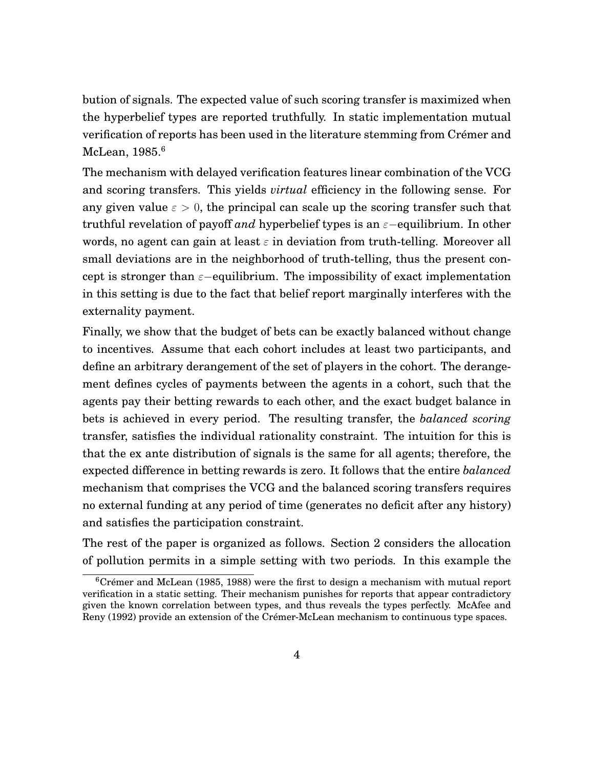<span id="page-5-1"></span>bution of signals. The expected value of such scoring transfer is maximized when the hyperbelief types are reported truthfully. In static implementation mutual verification of reports has been used in the literature stemming from [Crémer and](#page-39-7) [McLean, 1985.](#page-39-7)<sup>[6](#page-5-0)</sup>

The mechanism with delayed verification features linear combination of the VCG and scoring transfers. This yields *virtual* efficiency in the following sense. For any given value  $\varepsilon > 0$ , the principal can scale up the scoring transfer such that truthful revelation of payoff *and* hyperbelief types is an  $\varepsilon$ -equilibrium. In other words, no agent can gain at least  $\varepsilon$  in deviation from truth-telling. Moreover all small deviations are in the neighborhood of truth-telling, thus the present concept is stronger than  $\varepsilon$ −equilibrium. The impossibility of exact implementation in this setting is due to the fact that belief report marginally interferes with the externality payment.

Finally, we show that the budget of bets can be exactly balanced without change to incentives. Assume that each cohort includes at least two participants, and define an arbitrary derangement of the set of players in the cohort. The derangement defines cycles of payments between the agents in a cohort, such that the agents pay their betting rewards to each other, and the exact budget balance in bets is achieved in every period. The resulting transfer, the *balanced scoring* transfer, satisfies the individual rationality constraint. The intuition for this is that the ex ante distribution of signals is the same for all agents; therefore, the expected difference in betting rewards is zero. It follows that the entire *balanced* mechanism that comprises the VCG and the balanced scoring transfers requires no external funding at any period of time (generates no deficit after any history) and satisfies the participation constraint.

The rest of the paper is organized as follows. Section [2](#page-6-0) considers the allocation of pollution permits in a simple setting with two periods. In this example the

<span id="page-5-0"></span> $6C$ rémer and McLean [\(1985,](#page-39-7) [1988\)](#page-39-8) were the first to design a mechanism with mutual report verification in a static setting. Their mechanism punishes for reports that appear contradictory given the known correlation between types, and thus reveals the types perfectly. [McAfee and](#page-40-6) [Reny](#page-40-6) [\(1992\)](#page-40-6) provide an extension of the Crémer-McLean mechanism to continuous type spaces.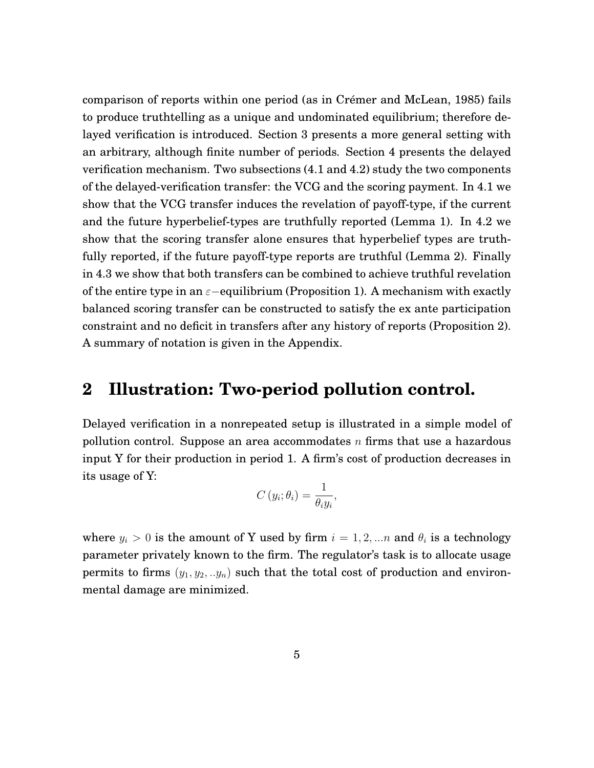<span id="page-6-1"></span>comparison of reports within one period (as in [Crémer and McLean, 1985\)](#page-39-7) fails to produce truthtelling as a unique and undominated equilibrium; therefore delayed verification is introduced. Section [3](#page-11-0) presents a more general setting with an arbitrary, although finite number of periods. Section [4](#page-17-0) presents the delayed verification mechanism. Two subsections [\(4.1](#page-18-0) and [4.2\)](#page-20-0) study the two components of the delayed-verification transfer: the VCG and the scoring payment. In [4.1](#page-18-0) we show that the VCG transfer induces the revelation of payoff-type, if the current and the future hyperbelief-types are truthfully reported (Lemma 1). In [4.2](#page-20-0) we show that the scoring transfer alone ensures that hyperbelief types are truthfully reported, if the future payoff-type reports are truthful (Lemma 2). Finally in [4.3](#page-22-0) we show that both transfers can be combined to achieve truthful revelation of the entire type in an  $\varepsilon$ −equilibrium (Proposition 1). A mechanism with exactly balanced scoring transfer can be constructed to satisfy the ex ante participation constraint and no deficit in transfers after any history of reports (Proposition 2). A summary of notation is given in the Appendix.

# <span id="page-6-0"></span>**2 Illustration: Two-period pollution control.**

Delayed verification in a nonrepeated setup is illustrated in a simple model of pollution control. Suppose an area accommodates  $n$  firms that use a hazardous input Y for their production in period 1. A firm's cost of production decreases in its usage of Y:

$$
C(y_i; \theta_i) = \frac{1}{\theta_i y_i},
$$

where  $y_i > 0$  is the amount of Y used by firm  $i = 1, 2, ...n$  and  $\theta_i$  is a technology parameter privately known to the firm. The regulator's task is to allocate usage permits to firms  $(y_1, y_2, \ldots, y_n)$  such that the total cost of production and environmental damage are minimized.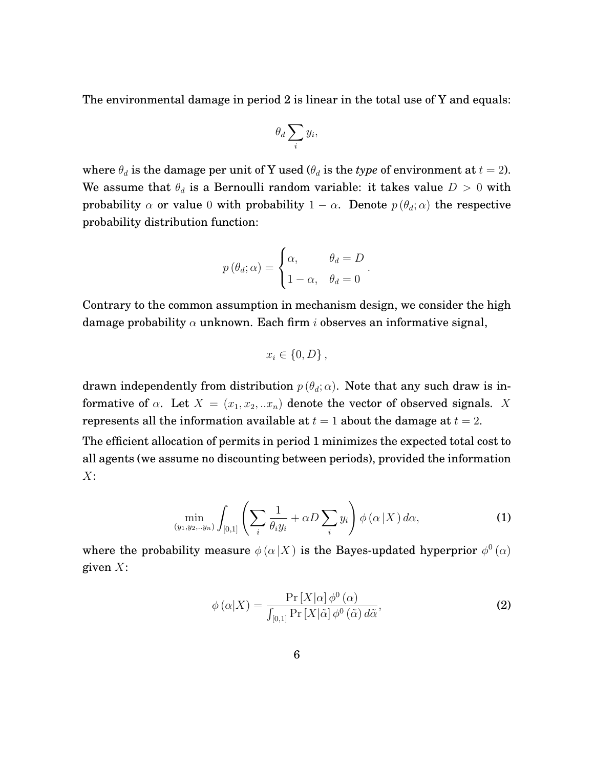The environmental damage in period 2 is linear in the total use of Y and equals:

$$
\theta_d \sum_i y_i,
$$

where  $\theta_d$  is the damage per unit of Y used ( $\theta_d$  is the *type* of environment at  $t = 2$ ). We assume that  $\theta_d$  is a Bernoulli random variable: it takes value  $D > 0$  with probability  $\alpha$  or value 0 with probability  $1 - \alpha$ . Denote  $p(\theta_d; \alpha)$  the respective probability distribution function:

$$
p(\theta_d; \alpha) = \begin{cases} \alpha, & \theta_d = D \\ 1 - \alpha, & \theta_d = 0 \end{cases}.
$$

Contrary to the common assumption in mechanism design, we consider the high damage probability  $\alpha$  unknown. Each firm *i* observes an informative signal,

$$
x_i \in \{0, D\},\,
$$

drawn independently from distribution  $p(\theta_d; \alpha)$ . Note that any such draw is informative of  $\alpha$ . Let  $X = (x_1, x_2, ... x_n)$  denote the vector of observed signals. X represents all the information available at  $t = 1$  about the damage at  $t = 2$ .

The efficient allocation of permits in period 1 minimizes the expected total cost to all agents (we assume no discounting between periods), provided the information  $X$ :

<span id="page-7-1"></span>
$$
\min_{(y_1, y_2, \ldots, y_n)} \int_{[0,1]} \left( \sum_i \frac{1}{\theta_i y_i} + \alpha D \sum_i y_i \right) \phi\left(\alpha \left| X\right.\right) d\alpha,\tag{1}
$$

where the probability measure  $\phi(\alpha|X)$  is the Bayes-updated hyperprior  $\phi^0(\alpha)$ given  $X$ :

<span id="page-7-0"></span>
$$
\phi(\alpha|X) = \frac{\Pr\left[X|\alpha\right]\phi^0(\alpha)}{\int_{[0,1]} \Pr\left[X|\tilde{\alpha}\right]\phi^0(\tilde{\alpha})\,d\tilde{\alpha}},\tag{2}
$$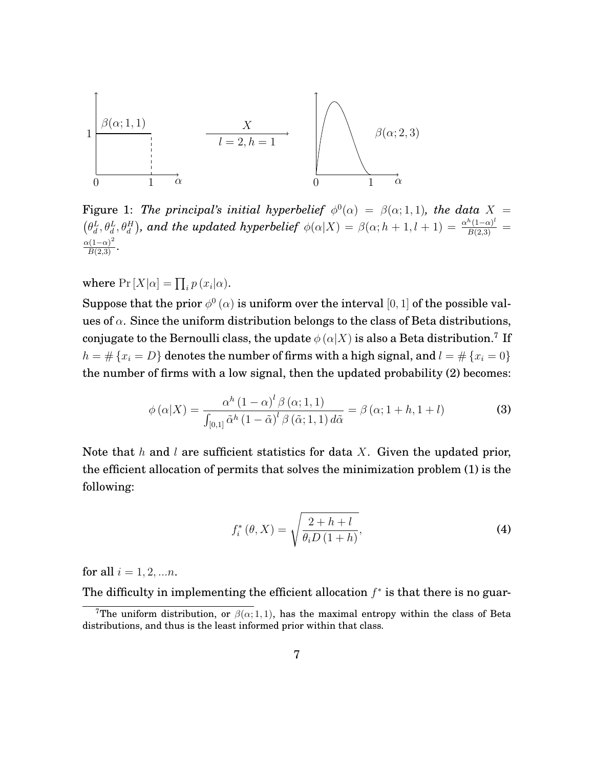

Figure 1: *The principal's initial hyperbelief*  $\phi^0(\alpha) = \beta(\alpha; 1, 1)$ *, the data*  $X =$  $\left(\theta_d^L, \theta_d^L, \theta_d^H\right)$ , and the updated hyperbelief  $\phi(\alpha|X) = \beta(\alpha; h + 1, l + 1) = \frac{\alpha^h(1-\alpha)^l}{B(2,3)}$  $\frac{\alpha(1-\alpha)^2}{B(2,3)}$ .

where  $Pr[X|\alpha] = \prod_i p(x_i|\alpha)$ .

Suppose that the prior  $\phi^0(\alpha)$  is uniform over the interval  $[0,1]$  of the possible values of  $\alpha$ . Since the uniform distribution belongs to the class of Beta distributions, conjugate to the Bernoulli class, the update  $\phi(\alpha|X)$  is also a Beta distribution.<sup>[7](#page-8-0)</sup> If  $h = # \{x_i = D\}$  denotes the number of firms with a high signal, and  $l = # \{x_i = 0\}$ the number of firms with a low signal, then the updated probability [\(2\)](#page-7-0) becomes:

$$
\phi\left(\alpha|X\right) = \frac{\alpha^h\left(1-\alpha\right)^l \beta\left(\alpha; 1,1\right)}{\int_{[0,1]} \tilde{\alpha}^h \left(1-\tilde{\alpha}\right)^l \beta\left(\tilde{\alpha}; 1,1\right) d\tilde{\alpha}} = \beta\left(\alpha; 1+h, 1+l\right)
$$
\n(3)

Note that  $h$  and  $l$  are sufficient statistics for data  $X$ . Given the updated prior, the efficient allocation of permits that solves the minimization problem [\(1\)](#page-7-1) is the following:

<span id="page-8-1"></span>
$$
f_i^*(\theta, X) = \sqrt{\frac{2 + h + l}{\theta_i D (1 + h)}},
$$
\n<sup>(4)</sup>

for all  $i = 1, 2, ... n$ .

The difficulty in implementing the efficient allocation  $f^*$  is that there is no guar-

<span id="page-8-0"></span><sup>&</sup>lt;sup>7</sup>The uniform distribution, or  $\beta(\alpha; 1, 1)$ , has the maximal entropy within the class of Beta distributions, and thus is the least informed prior within that class.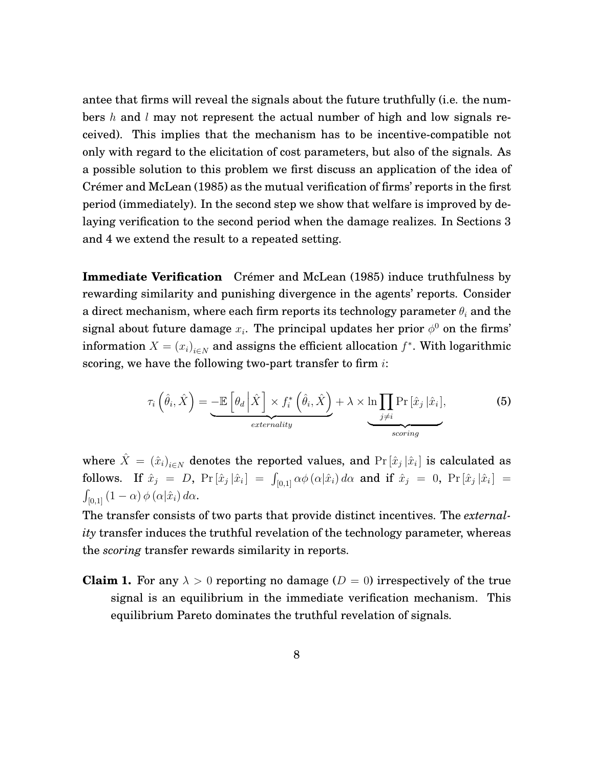<span id="page-9-0"></span>antee that firms will reveal the signals about the future truthfully (i.e. the numbers h and l may not represent the actual number of high and low signals received). This implies that the mechanism has to be incentive-compatible not only with regard to the elicitation of cost parameters, but also of the signals. As a possible solution to this problem we first discuss an application of the idea of [Crémer and McLean](#page-39-7) [\(1985\)](#page-39-7) as the mutual verification of firms' reports in the first period (immediately). In the second step we show that welfare is improved by delaying verification to the second period when the damage realizes. In Sections 3 and 4 we extend the result to a repeated setting.

**Immediate Verification** [Crémer and McLean](#page-39-7) [\(1985\)](#page-39-7) induce truthfulness by rewarding similarity and punishing divergence in the agents' reports. Consider a direct mechanism, where each firm reports its technology parameter  $\theta_i$  and the signal about future damage  $x_i$ . The principal updates her prior  $\phi^0$  on the firms' information  $X = (x_i)_{i \in N}$  and assigns the efficient allocation  $f^*$ . With logarithmic scoring, we have the following two-part transfer to firm  $i$ :

$$
\tau_i\left(\hat{\theta}_i,\hat{X}\right) = \underbrace{-\mathbb{E}\left[\theta_d\left|\hat{X}\right]\times f_i^*\left(\hat{\theta}_i,\hat{X}\right)}_{externality} + \lambda \times \underbrace{\ln \prod_{j\neq i} \Pr\left[\hat{x}_j\left|\hat{x}_i\right],}_{scoring} \tag{5}
$$

where  $\hat{X} = (\hat{x}_i)_{i \in N}$  denotes the reported values, and  $\Pr\left[\hat{x}_j\,|\hat{x}_i\right]$  is calculated as  ${\rm follows.} \quad {\rm If} \,\,\hat x_j \,\,=\,\, D, \,\, {\rm Pr} \, [\hat x_j \, |\hat x_i] \,\,=\,\, \int_{[0,1]} \alpha \phi \, (\alpha |\hat x_i) \, d\alpha \,\,\, {\rm and} \,\,\,{\rm if} \,\,\hat x_j \,\,=\,\, 0, \,\, \Pr \, [\hat x_j \, |\hat x_i] \,\,=\,\,$  $\int_{[0,1]} (1-\alpha) \, \phi\left(\alpha|\hat{x}_i\right) d\alpha.$ 

The transfer consists of two parts that provide distinct incentives. The *externality* transfer induces the truthful revelation of the technology parameter, whereas the *scoring* transfer rewards similarity in reports.

**Claim 1.** For any  $\lambda > 0$  reporting no damage  $(D = 0)$  irrespectively of the true signal is an equilibrium in the immediate verification mechanism. This equilibrium Pareto dominates the truthful revelation of signals.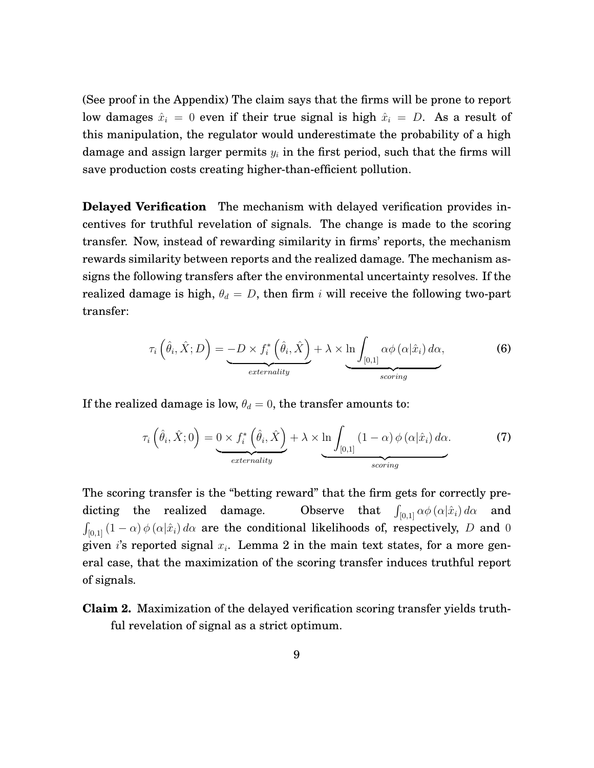(See proof in the [Appendix\)](#page-25-0) The claim says that the firms will be prone to report low damages  $\hat{x}_i = 0$  even if their true signal is high  $\hat{x}_i = D$ . As a result of this manipulation, the regulator would underestimate the probability of a high damage and assign larger permits  $y_i$  in the first period, such that the firms will save production costs creating higher-than-efficient pollution.

**Delayed Verification** The mechanism with delayed verification provides incentives for truthful revelation of signals. The change is made to the scoring transfer. Now, instead of rewarding similarity in firms' reports, the mechanism rewards similarity between reports and the realized damage. The mechanism assigns the following transfers after the environmental uncertainty resolves. If the realized damage is high,  $\theta_d = D$ , then firm i will receive the following two-part transfer:

$$
\tau_i\left(\hat{\theta}_i,\hat{X};D\right) = -D \times f_i^*\left(\hat{\theta}_i,\hat{X}\right) + \lambda \times \ln \int_{[0,1]} \alpha \phi\left(\alpha|\hat{x}_i\right) d\alpha, \tag{6}
$$

If the realized damage is low,  $\theta_d = 0$ , the transfer amounts to:

$$
\tau_i\left(\hat{\theta}_i, \hat{X}; 0\right) = \underbrace{0 \times f_i^*\left(\hat{\theta}_i, \hat{X}\right)}_{externality} + \lambda \times \underbrace{\ln \int_{[0,1]} (1-\alpha) \, \phi\left(\alpha | \hat{x}_i\right) d\alpha}_{scoring}.\tag{7}
$$

The scoring transfer is the "betting reward" that the firm gets for correctly predicting the realized damage. **Observe** that  $\int_{[0,1]} \alpha \phi(\alpha|\hat{x}_i) d\alpha$  and  $\int_{[0,1]} \left(1-\alpha\right) \phi\left(\alpha|\hat{x}_i\right) d\alpha$  are the conditional likelihoods of, respectively,  $D$  and  $0$ given i's reported signal  $x_i$ . Lemma 2 in the main text states, for a more general case, that the maximization of the scoring transfer induces truthful report of signals.

**Claim 2.** Maximization of the delayed verification scoring transfer yields truthful revelation of signal as a strict optimum.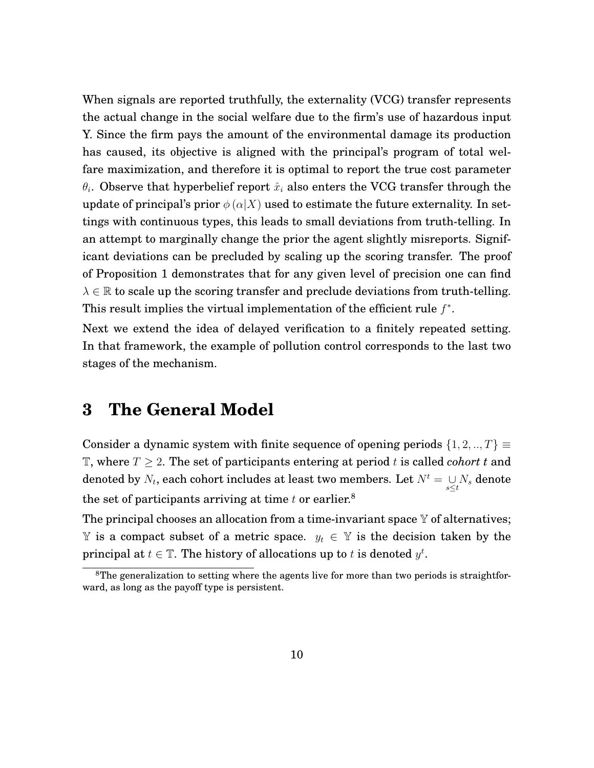When signals are reported truthfully, the externality (VCG) transfer represents the actual change in the social welfare due to the firm's use of hazardous input Y. Since the firm pays the amount of the environmental damage its production has caused, its objective is aligned with the principal's program of total welfare maximization, and therefore it is optimal to report the true cost parameter  $\theta_i.$  Observe that hyperbelief report  $\hat{x}_i$  also enters the VCG transfer through the update of principal's prior  $\phi(\alpha|X)$  used to estimate the future externality. In settings with continuous types, this leads to small deviations from truth-telling. In an attempt to marginally change the prior the agent slightly misreports. Significant deviations can be precluded by scaling up the scoring transfer. The proof of Proposition 1 demonstrates that for any given level of precision one can find  $\lambda \in \mathbb{R}$  to scale up the scoring transfer and preclude deviations from truth-telling. This result implies the virtual implementation of the efficient rule  $f^*$ .

Next we extend the idea of delayed verification to a finitely repeated setting. In that framework, the example of pollution control corresponds to the last two stages of the mechanism.

# <span id="page-11-0"></span>**3 The General Model**

Consider a dynamic system with finite sequence of opening periods  $\{1, 2, ..., T\} \equiv$ T, where  $T \geq 2$ . The set of participants entering at period t is called *cohort t* and denoted by  $N_t$ , each cohort includes at least two members. Let  $N^t = \mathop{\cup}\limits_{s \leq t} N_s$  denote the set of participants arriving at time  $t$  or earlier.<sup>[8](#page-11-1)</sup>

The principal chooses an allocation from a time-invariant space  $\mathbb Y$  of alternatives; Y is a compact subset of a metric space.  $y_t$  ∈ Y is the decision taken by the principal at  $t \in \mathbb{T}$ . The history of allocations up to t is denoted  $y^t$ .

<span id="page-11-1"></span><sup>&</sup>lt;sup>8</sup>The generalization to setting where the agents live for more than two periods is straightforward, as long as the payoff type is persistent.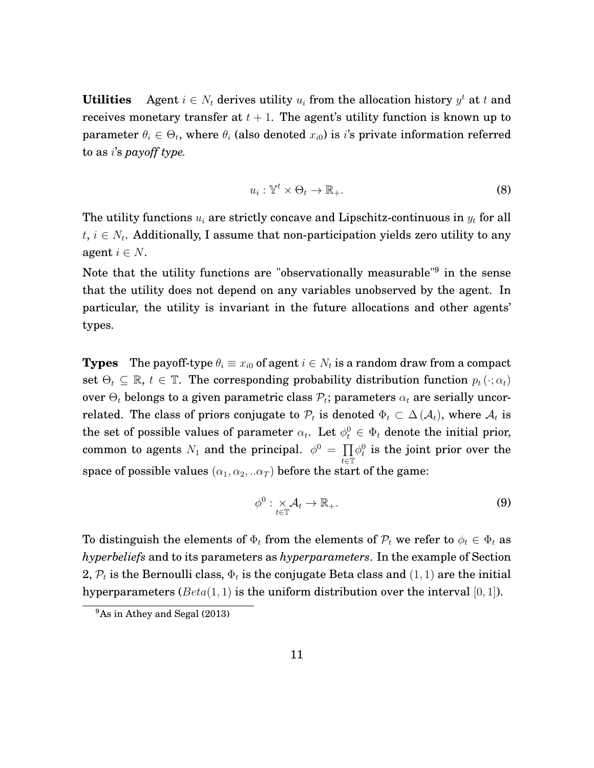<span id="page-12-1"></span>**Utilities** Agent  $i \in N_t$  derives utility  $u_i$  from the allocation history  $y^t$  at t and receives monetary transfer at  $t + 1$ . The agent's utility function is known up to parameter  $\theta_i \in \Theta_t$ , where  $\theta_i$  (also denoted  $x_{i0}$ ) is *i*'s private information referred to as i's *payoff type.*

$$
u_i: \mathbb{Y}^t \times \Theta_t \to \mathbb{R}_+.
$$
 (8)

The utility functions  $u_i$  are strictly concave and Lipschitz-continuous in  $y_t$  for all  $t,\,i\in N_t.$  Additionally, I assume that non-participation yields zero utility to any agent  $i \in N$ .

Note that the utility functions are "observationally measurable"<sup>[9](#page-12-0)</sup> in the sense that the utility does not depend on any variables unobserved by the agent. In particular, the utility is invariant in the future allocations and other agents' types.

**Types** The payoff-type  $\theta_i \equiv x_{i0}$  of agent  $i \in N_t$  is a random draw from a compact set  $\Theta_t \subseteq \mathbb{R}$ ,  $t \in \mathbb{T}$ . The corresponding probability distribution function  $p_t(\cdot; \alpha_t)$ over  $\Theta_t$  belongs to a given parametric class  $\mathcal{P}_t$ ; parameters  $\alpha_t$  are serially uncorrelated. The class of priors conjugate to  $\mathcal{P}_t$  is denoted  $\Phi_t \subset \Delta(\mathcal{A}_t)$ , where  $\mathcal{A}_t$  is the set of possible values of parameter  $\alpha_t$ . Let  $\phi_t^0 \in \Phi_t$  denote the initial prior, common to agents  $N_1$  and the principal.  $\phi^0 = \prod$  $\bar{t}$ ∈ $\mathbb{\bar{T}}$  $\phi_t^0$  is the joint prior over the space of possible values  $(\alpha_1, \alpha_2, \ldots, \alpha_T)$  before the start of the game:

$$
\phi^0: \underset{t \in \mathbb{T}}{\times} \mathcal{A}_t \to \mathbb{R}_+.
$$
 (9)

To distinguish the elements of  $\Phi_t$  from the elements of  $\mathcal{P}_t$  we refer to  $\phi_t \in \Phi_t$  as *hyperbeliefs* and to its parameters as *hyperparameters*. In the example of Section [2,](#page-6-0)  $\mathcal{P}_t$  is the Bernoulli class,  $\Phi_t$  is the conjugate Beta class and  $(1, 1)$  are the initial hyperparameters  $(Beta(1, 1))$  is the uniform distribution over the interval [0, 1]).

<span id="page-12-0"></span><sup>9</sup>As in [Athey and Segal](#page-38-0) [\(2013\)](#page-38-0)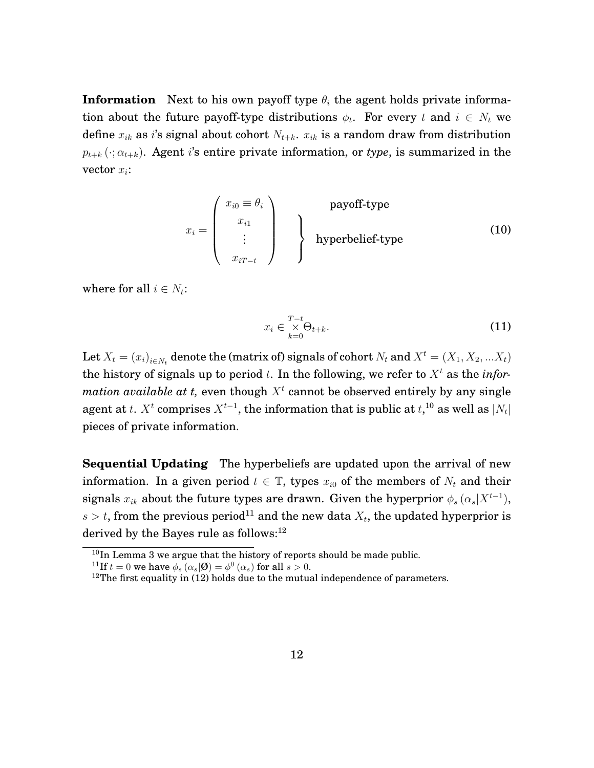**Information** Next to his own payoff type  $\theta_i$  the agent holds private information about the future payoff-type distributions  $\phi_t$ . For every t and  $i \in N_t$  we define  $x_{ik}$  as i's signal about cohort  $N_{t+k}$ .  $x_{ik}$  is a random draw from distribution  $p_{t+k}(\cdot; \alpha_{t+k})$ . Agent *i*'s entire private information, or *type*, is summarized in the vector  $x_i$ :

$$
x_i = \begin{pmatrix} x_{i0} \equiv \theta_i \\ x_{i1} \\ \vdots \\ x_{iT-t} \end{pmatrix}
$$
 **payoff-type hyperbelief-type** (10)

where for all  $i \in N_t$ :

$$
x_i \in \underset{k=0}{\overset{T-t}{\times}} \Theta_{t+k}.\tag{11}
$$

Let  $X_t = (x_i)_{i \in N_t}$  denote the (matrix of) signals of cohort  $N_t$  and  $X^t = (X_1, X_2, ... X_t)$ the history of signals up to period  $t$ . In the following, we refer to  $X<sup>t</sup>$  as the *infor* $mation\ available\ at\ t,\ even\ though\ X^t\ cannot\ be\ observed\ entirely\ by\ any\ single$ agent at  $t$ .  $X^t$  comprises  $X^{t-1}$ , the information that is public at  $t,$ <sup>[10](#page-13-0)</sup> as well as  $\vert N_t \vert$ pieces of private information.

**Sequential Updating** The hyperbeliefs are updated upon the arrival of new information. In a given period  $t \in \mathbb{T}$ , types  $x_{i0}$  of the members of  $N_t$  and their signals  $x_{ik}$  about the future types are drawn. Given the hyperprior  $\phi_s(\alpha_s|X^{t-1}),$  $s > t$ , from the previous period<sup>[11](#page-13-1)</sup> and the new data  $X_t$ , the updated hyperprior is derived by the Bayes rule as follows:<sup>[12](#page-13-2)</sup>

<span id="page-13-0"></span><sup>10</sup>In Lemma 3 we argue that the history of reports should be made public.

<span id="page-13-1"></span><sup>&</sup>lt;sup>11</sup>If  $t = 0$  we have  $\phi_s(\alpha_s | \mathcal{O}) = \phi^0(\alpha_s)$  for all  $s > 0$ .

<span id="page-13-2"></span> $12$ The first equality in [\(12\)](#page-14-0) holds due to the mutual independence of parameters.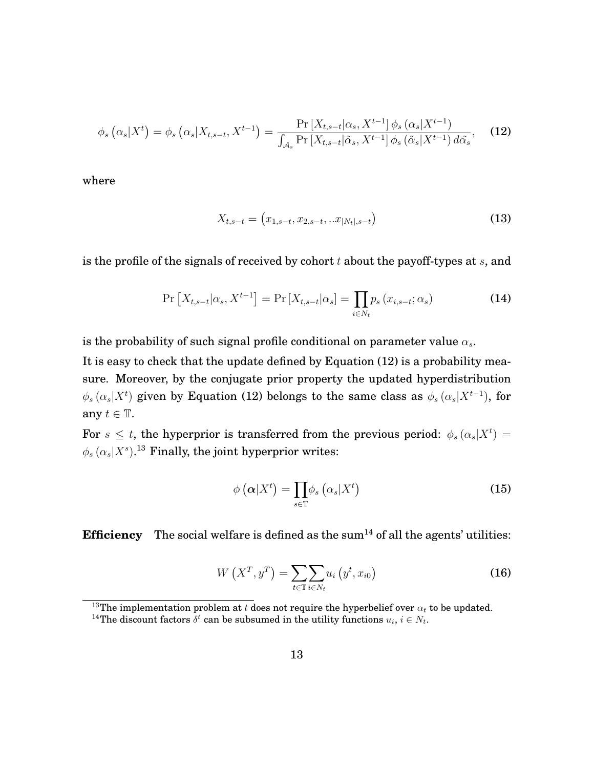<span id="page-14-0"></span>
$$
\phi_s\left(\alpha_s|X^t\right) = \phi_s\left(\alpha_s|X_{t,s-t}, X^{t-1}\right) = \frac{\Pr\left[X_{t,s-t}|\alpha_s, X^{t-1}\right]\phi_s\left(\alpha_s|X^{t-1}\right)}{\int_{\mathcal{A}_s}\Pr\left[X_{t,s-t}|\tilde{\alpha}_s, X^{t-1}\right]\phi_s\left(\tilde{\alpha}_s|X^{t-1}\right)d\tilde{\alpha}_s},\tag{12}
$$

where

$$
X_{t,s-t} = (x_{1,s-t}, x_{2,s-t}, ... x_{|N_t|,s-t})
$$
\n(13)

is the profile of the signals of received by cohort  $t$  about the payoff-types at  $s$ , and

<span id="page-14-3"></span>
$$
\Pr\left[X_{t,s-t}|\alpha_s, X^{t-1}\right] = \Pr\left[X_{t,s-t}|\alpha_s\right] = \prod_{i \in N_t} p_s\left(x_{i,s-t}; \alpha_s\right) \tag{14}
$$

is the probability of such signal profile conditional on parameter value  $\alpha_s$ .

It is easy to check that the update defined by Equation [\(12\)](#page-14-0) is a probability measure. Moreover, by the conjugate prior property the updated hyperdistribution  $\phi_s(\alpha_s|X^t)$  given by Equation [\(12\)](#page-14-0) belongs to the same class as  $\phi_s(\alpha_s|X^{t-1})$ , for any  $t \in \mathbb{T}$ .

For  $s \leq t$ , the hyperprior is transferred from the previous period:  $\phi_s(\alpha_s|X^t) =$  $\phi_s(\alpha_s|X^s).^{13}$  $\phi_s(\alpha_s|X^s).^{13}$  $\phi_s(\alpha_s|X^s).^{13}$  Finally, the joint hyperprior writes:

$$
\phi\left(\boldsymbol{\alpha}|X^{t}\right) = \prod_{s \in \mathbb{T}} \phi_{s}\left(\alpha_{s}|X^{t}\right) \tag{15}
$$

**Efficiency** The social welfare is defined as the sum<sup>[14](#page-14-2)</sup> of all the agents' utilities:

$$
W\left(X^T, y^T\right) = \sum_{t \in \mathbb{T}} \sum_{i \in N_t} u_i\left(y^t, x_{i0}\right) \tag{16}
$$

<span id="page-14-1"></span><sup>&</sup>lt;sup>13</sup>The implementation problem at t does not require the hyperbelief over  $\alpha_t$  to be updated.

<span id="page-14-2"></span><sup>&</sup>lt;sup>14</sup>The discount factors  $\delta^t$  can be subsumed in the utility functions  $u_i, i \in N_t$ .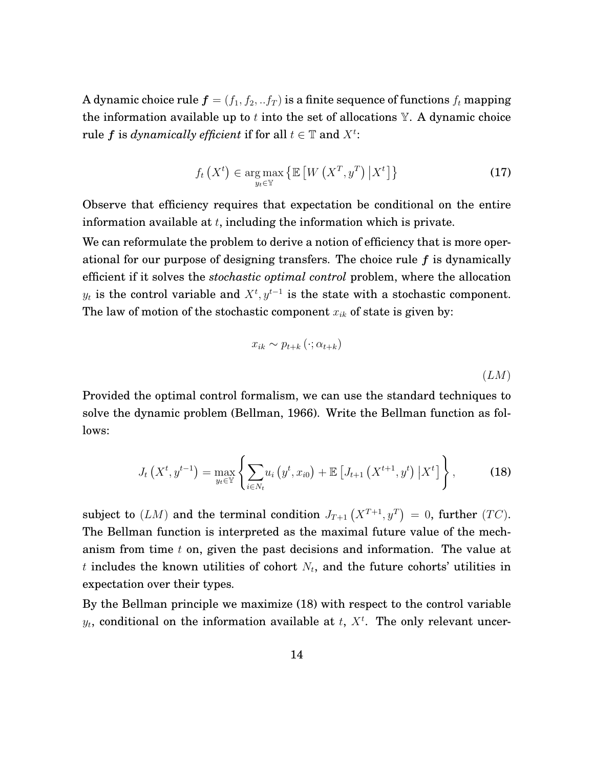<span id="page-15-1"></span>A dynamic choice rule  $f = (f_1, f_2, ... f_T)$  is a finite sequence of functions  $f_t$  mapping the information available up to t into the set of allocations  $Y$ . A dynamic choice rule  $f$  is  $dynamically$  efficient if for all  $t \in \mathbb{T}$  and  $X^t$ :

$$
f_t\left(X^t\right) \in \underset{y_t \in \mathbb{Y}}{\arg \max} \left\{ \mathbb{E}\left[W\left(X^T, y^T\right) \big| X^t\right] \right\} \tag{17}
$$

Observe that efficiency requires that expectation be conditional on the entire information available at  $t$ , including the information which is private.

We can reformulate the problem to derive a notion of efficiency that is more operational for our purpose of designing transfers. The choice rule f is dynamically efficient if it solves the *stochastic optimal control* problem, where the allocation  $y_t$  is the control variable and  $X^t, y^{t-1}$  is the state with a stochastic component. The law of motion of the stochastic component  $x_{ik}$  of state is given by:

$$
x_{ik} \sim p_{t+k} \left( \cdot; \alpha_{t+k} \right) \tag{LM}
$$

Provided the optimal control formalism, we can use the standard techniques to solve the dynamic problem [\(Bellman, 1966\)](#page-38-1). Write the Bellman function as follows:

<span id="page-15-0"></span>
$$
J_t(X^t, y^{t-1}) = \max_{y_t \in \mathbb{Y}} \left\{ \sum_{i \in N_t} u_i(y^t, x_{i0}) + \mathbb{E} \left[ J_{t+1}(X^{t+1}, y^t) \, \big| \, X^t \right] \right\},\tag{18}
$$

subject to  $(LM)$  and the terminal condition  $J_{T+1}(X^{T+1}, y^T) = 0$ , further  $(TC)$ . The Bellman function is interpreted as the maximal future value of the mechanism from time  $t$  on, given the past decisions and information. The value at  $t$  includes the known utilities of cohort  $N_t$ , and the future cohorts' utilities in expectation over their types.

By the Bellman principle we maximize [\(18\)](#page-15-0) with respect to the control variable  $y_t$ , conditional on the information available at  $t$ ,  $X<sup>t</sup>$ . The only relevant uncer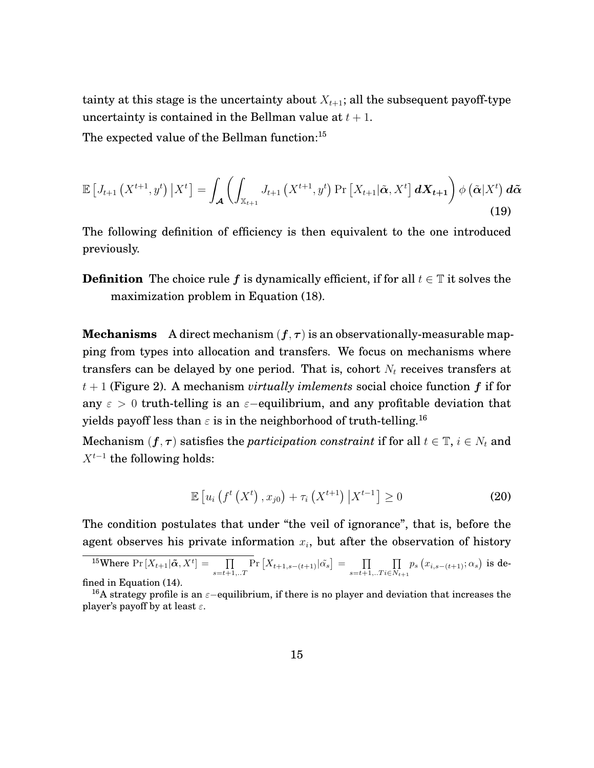tainty at this stage is the uncertainty about  $X_{t+1}$ ; all the subsequent payoff-type uncertainty is contained in the Bellman value at  $t + 1$ .

The expected value of the Bellman function:<sup>[15](#page-16-0)</sup>

$$
\mathbb{E}\left[J_{t+1}\left(X^{t+1},y^{t}\right)\big|X^{t}\right] = \int_{\mathcal{A}}\left(\int_{\mathbb{X}_{t+1}}J_{t+1}\left(X^{t+1},y^{t}\right)\Pr\left[X_{t+1}|\tilde{\boldsymbol{\alpha}},X^{t}\right]dX_{t+1}\right)\phi\left(\tilde{\boldsymbol{\alpha}}|X^{t}\right)d\tilde{\boldsymbol{\alpha}}\tag{19}
$$

The following definition of efficiency is then equivalent to the one introduced previously.

**Definition** The choice rule f is dynamically efficient, if for all  $t \in \mathbb{T}$  it solves the maximization problem in Equation [\(18\)](#page-15-0).

**Mechanisms** A direct mechanism  $(f, \tau)$  is an observationally-measurable mapping from types into allocation and transfers. We focus on mechanisms where transfers can be delayed by one period. That is, cohort  $N_t$  receives transfers at t + 1 (Figure 2). A mechanism *virtually imlements* social choice function f if for any  $\varepsilon > 0$  truth-telling is an  $\varepsilon$ -equilibrium, and any profitable deviation that yields payoff less than  $\varepsilon$  is in the neighborhood of truth-telling.<sup>[16](#page-16-1)</sup>

Mechanism  $(f, \tau)$  satisfies the *participation constraint* if for all  $t \in \mathbb{T}$ ,  $i \in N_t$  and  $X^{t-1}$  the following holds:

<span id="page-16-2"></span>
$$
\mathbb{E}\left[u_{i}\left(f^{t}\left(X^{t}\right), x_{j0}\right)+\tau_{i}\left(X^{t+1}\right) \big| X^{t-1}\right] \geq 0 \tag{20}
$$

The condition postulates that under "the veil of ignorance", that is, before the agent observes his private information  $x_i$ , but after the observation of history

```
<sup>15</sup>Where Pr [X_{t+1}|\tilde{\pmb{\alpha}},X^t]= \prod_{s=t+1,..T}Pr[X_{t+1,s-(t+1)}|\tilde{\alpha_s}] = \prod_{s=t+1,..T}\Pi\prod_{i\in N_{t+1}}p_s\left(x_{i,s-(t+1)};\alpha_s\right) is de-
fined in Equation (14).
```
<span id="page-16-1"></span><sup>&</sup>lt;sup>16</sup>A strategy profile is an  $\varepsilon$ -equilibrium, if there is no player and deviation that increases the player's payoff by at least  $\varepsilon$ .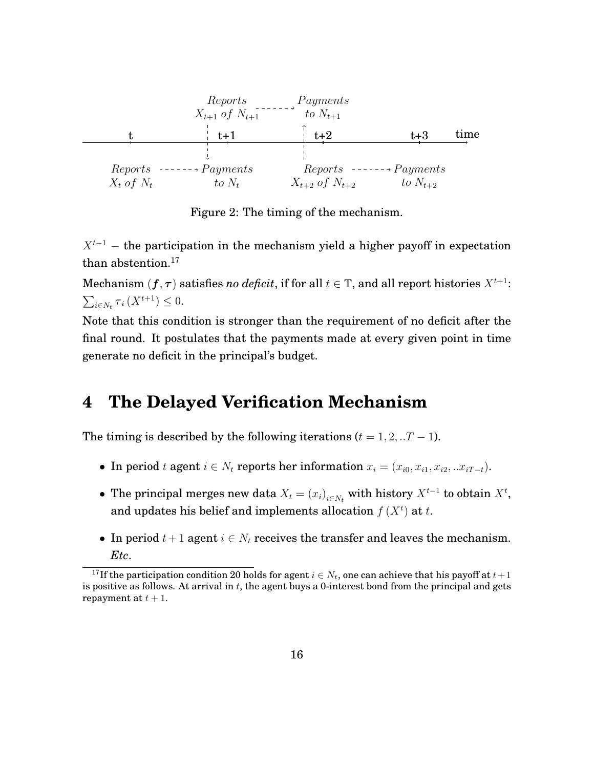

Figure 2: The timing of the mechanism.

 $X^{t-1}$  – the participation in the mechanism yield a higher payoff in expectation than abstention.<sup>[17](#page-17-1)</sup>

Mechanism  $(f, \tau)$  satisfies *no deficit*, if for all  $t \in \mathbb{T}$ , and all report histories  $X^{t+1}$ :  $\sum_{i \in N_t} \tau_i(X^{t+1}) \leq 0.$ 

Note that this condition is stronger than the requirement of no deficit after the final round. It postulates that the payments made at every given point in time generate no deficit in the principal's budget.

## <span id="page-17-0"></span>**4 The Delayed Verification Mechanism**

The timing is described by the following iterations  $(t = 1, 2, ...T - 1)$ .

- In period t agent  $i \in N_t$  reports her information  $x_i = (x_{i0}, x_{i1}, x_{i2}, ... x_{iT-t}).$
- The principal merges new data  $X_t = (x_i)_{i \in N_t}$  with history  $X^{t-1}$  to obtain  $X^t$ , and updates his belief and implements allocation  $f(X^t)$  at t.
- In period  $t + 1$  agent  $i \in N_t$  receives the transfer and leaves the mechanism. *Etc*.

<span id="page-17-1"></span><sup>&</sup>lt;sup>17</sup>If the participation condition [20](#page-16-2) holds for agent  $i \in N_t$ , one can achieve that his payoff at  $t+1$ is positive as follows. At arrival in  $t$ , the agent buys a 0-interest bond from the principal and gets repayment at  $t + 1$ .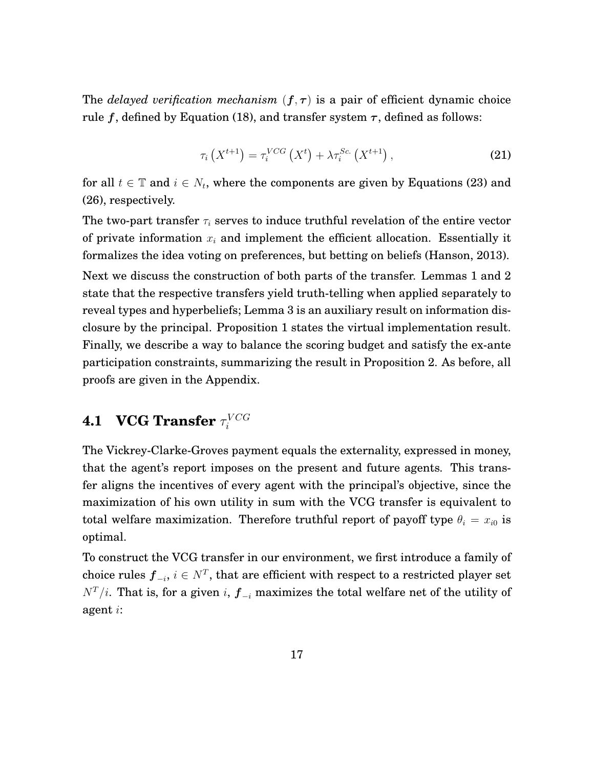<span id="page-18-1"></span>The *delayed verification mechanism*  $(f, \tau)$  is a pair of efficient dynamic choice rule f, defined by Equation [\(18\)](#page-15-0), and transfer system  $\tau$ , defined as follows:

$$
\tau_i\left(X^{t+1}\right) = \tau_i^{VCG}\left(X^t\right) + \lambda \tau_i^{Sc}\left(X^{t+1}\right),\tag{21}
$$

for all  $t \in \mathbb{T}$  and  $i \in N_t$ , where the components are given by Equations [\(23\)](#page-19-0) and [\(26\)](#page-20-1), respectively.

The two-part transfer  $\tau_i$  serves to induce truthful revelation of the entire vector of private information  $x_i$  and implement the efficient allocation. Essentially it formalizes the idea voting on preferences, but betting on beliefs [\(Hanson, 2013\)](#page-39-9). Next we discuss the construction of both parts of the transfer. Lemmas 1 and 2 state that the respective transfers yield truth-telling when applied separately to reveal types and hyperbeliefs; Lemma 3 is an auxiliary result on information disclosure by the principal. Proposition 1 states the virtual implementation result. Finally, we describe a way to balance the scoring budget and satisfy the ex-ante participation constraints, summarizing the result in Proposition 2. As before, all proofs are given in the Appendix.

#### <span id="page-18-0"></span>**4.1 VCG Transfer**  $\tau_i^{VCG}$ i

The Vickrey-Clarke-Groves payment equals the externality, expressed in money, that the agent's report imposes on the present and future agents. This transfer aligns the incentives of every agent with the principal's objective, since the maximization of his own utility in sum with the VCG transfer is equivalent to total welfare maximization. Therefore truthful report of payoff type  $\theta_i = x_{i0}$  is optimal.

To construct the VCG transfer in our environment, we first introduce a family of choice rules  $\pmb{f}_{-i},\,i\in N^T,$  that are efficient with respect to a restricted player set  $N<sup>T</sup>/i$ . That is, for a given i,  $f_{-i}$  maximizes the total welfare net of the utility of agent i: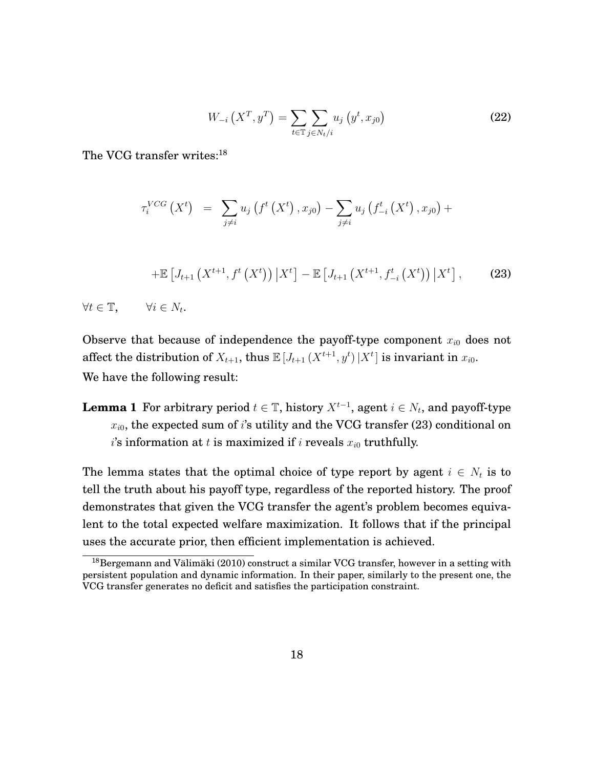$$
W_{-i}\left(X^T, y^T\right) = \sum_{t \in \mathbb{T}} \sum_{j \in N_t/i} u_j\left(y^t, x_{j0}\right) \tag{22}
$$

<span id="page-19-2"></span>The VCG transfer writes:<sup>[18](#page-19-1)</sup>

$$
\tau_i^{VCG}(X^t) = \sum_{j \neq i} u_j(f^t(X^t), x_{j0}) - \sum_{j \neq i} u_j(f^t_{-i}(X^t), x_{j0}) +
$$
  
+ 
$$
\mathbb{E}[J_{t+1}(X^{t+1}, f^t(X^t)) | X^t] - \mathbb{E}[J_{t+1}(X^{t+1}, f^t_{-i}(X^t)) | X^t], \qquad (23)
$$
  

$$
\forall t \in \mathbb{T}, \qquad \forall i \in N_t.
$$

<span id="page-19-0"></span>Observe that because of independence the payoff-type component  $x_{i0}$  does not affect the distribution of  $X_{t+1}$ , thus  $\mathbb{E}[J_{t+1}(X^{t+1}, y^t) | X^t]$  is invariant in  $x_{i0}$ . We have the following result:

**Lemma 1** For arbitrary period  $t \in \mathbb{T}$ , history  $X^{t-1}$ , agent  $i \in N_t$ , and payoff-type  $x_{i0}$ , the expected sum of i's utility and the VCG transfer [\(23\)](#page-19-0) conditional on  $i$ 's information at  $t$  is maximized if  $i$  reveals  $x_{i0}$  truthfully.

The lemma states that the optimal choice of type report by agent  $i \in N_t$  is to tell the truth about his payoff type, regardless of the reported history. The proof demonstrates that given the VCG transfer the agent's problem becomes equivalent to the total expected welfare maximization. It follows that if the principal uses the accurate prior, then efficient implementation is achieved.

<span id="page-19-1"></span> $^{18}$ [Bergemann and Välimäki](#page-39-1) [\(2010\)](#page-39-1) construct a similar VCG transfer, however in a setting with persistent population and dynamic information. In their paper, similarly to the present one, the VCG transfer generates no deficit and satisfies the participation constraint.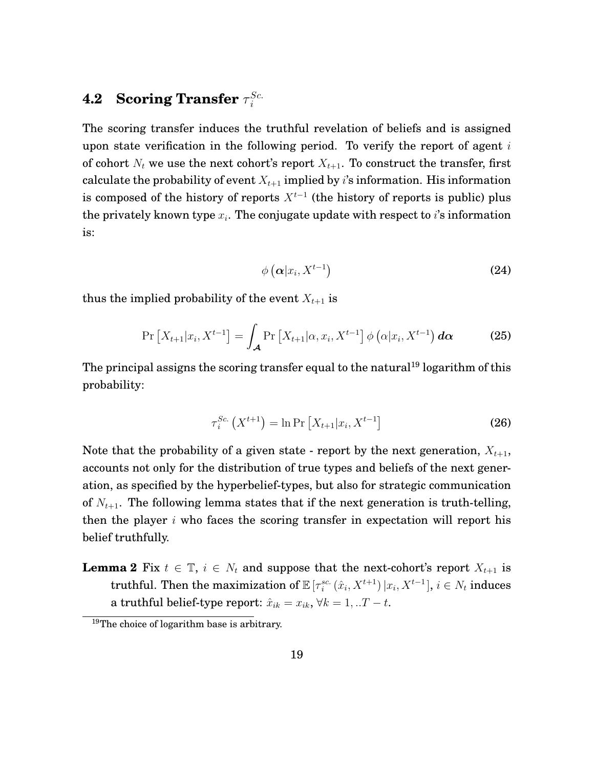#### <span id="page-20-0"></span>**4.2 Scoring Transfer**  $τ_i^{Sc.}$ i

The scoring transfer induces the truthful revelation of beliefs and is assigned upon state verification in the following period. To verify the report of agent  $i$ of cohort  $N_t$  we use the next cohort's report  $X_{t+1}$ . To construct the transfer, first calculate the probability of event  $X_{t+1}$  implied by i's information. His information is composed of the history of reports  $X^{t-1}$  (the history of reports is public) plus the privately known type  $x_i$ . The conjugate update with respect to i's information is:

$$
\phi\left(\boldsymbol{\alpha}|x_i, X^{t-1}\right) \tag{24}
$$

thus the implied probability of the event  $X_{t+1}$  is

$$
\Pr\left[X_{t+1}|x_i, X^{t-1}\right] = \int_{\mathcal{A}} \Pr\left[X_{t+1}|\alpha, x_i, X^{t-1}\right] \phi\left(\alpha|x_i, X^{t-1}\right) d\alpha \tag{25}
$$

The principal assigns the scoring transfer equal to the natural<sup>[19](#page-20-2)</sup> logarithm of this probability:

<span id="page-20-1"></span>
$$
\tau_i^{Sc.}\left(X^{t+1}\right) = \ln \Pr\left[X_{t+1}|x_i, X^{t-1}\right] \tag{26}
$$

Note that the probability of a given state - report by the next generation,  $X_{t+1}$ , accounts not only for the distribution of true types and beliefs of the next generation, as specified by the hyperbelief-types, but also for strategic communication of  $N_{t+1}$ . The following lemma states that if the next generation is truth-telling, then the player  $i$  who faces the scoring transfer in expectation will report his belief truthfully.

**Lemma 2** Fix  $t \in \mathbb{T}$ ,  $i \in N_t$  and suppose that the next-cohort's report  $X_{t+1}$  is truthful. Then the maximization of  $\mathbb{E}\left[\tau_i^{sc}\left(\hat{x}_i,X^{t+1}\right)|x_i,X^{t-1}\right]$ ,  $i\in\mathbb{N}_t$  induces a truthful belief-type report:  $\hat{x}_{ik} = x_{ik}, \forall k = 1, ...T - t$ .

<span id="page-20-2"></span><sup>&</sup>lt;sup>19</sup>The choice of logarithm base is arbitrary.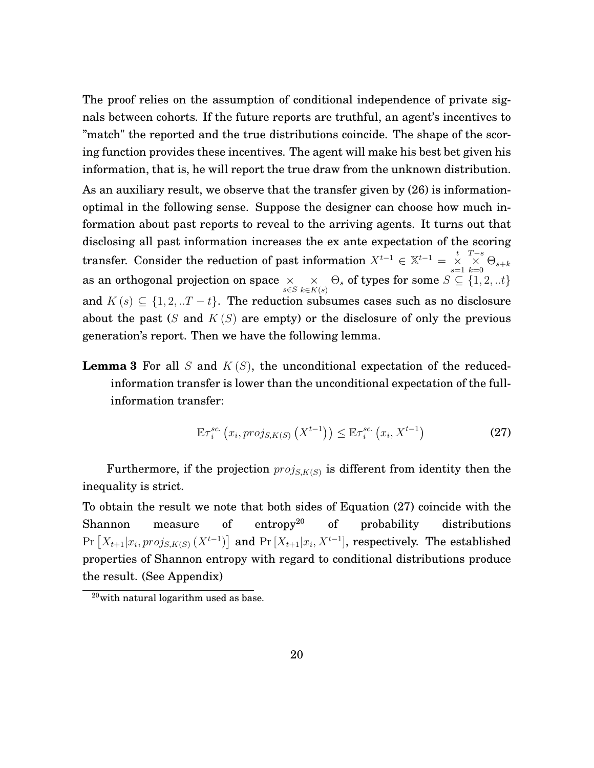The proof relies on the assumption of conditional independence of private signals between cohorts. If the future reports are truthful, an agent's incentives to "match" the reported and the true distributions coincide. The shape of the scoring function provides these incentives. The agent will make his best bet given his information, that is, he will report the true draw from the unknown distribution.

As an auxiliary result, we observe that the transfer given by [\(26\)](#page-20-1) is informationoptimal in the following sense. Suppose the designer can choose how much information about past reports to reveal to the arriving agents. It turns out that disclosing all past information increases the ex ante expectation of the scoring transfer. Consider the reduction of past information  $X^{t-1} \in \mathbb{X}^{t-1} = \frac{t}{X}$  $\mathop \times \limits_{k = 0}^{T - s} \Theta_{s + k}$ as an orthogonal projection on space  $\begin{array}{cc} \times & \times \\ \ast\in S & k\in K \end{array}$  $\underset{k\in K(s)}{\times} \Theta_s$  of types for some  $S\subseteq \{1,2,..t\}$ and  $K(s) \subseteq \{1, 2, \ldots T - t\}$ . The reduction subsumes cases such as no disclosure about the past  $(S \text{ and } K(S)$  are empty) or the disclosure of only the previous generation's report. Then we have the following lemma.

**Lemma 3** For all S and  $K(S)$ , the unconditional expectation of the reducedinformation transfer is lower than the unconditional expectation of the fullinformation transfer:

<span id="page-21-0"></span>
$$
\mathbb{E}\tau_i^{sc.}\left(x_i,proj_{S,K(S)}\left(X^{t-1}\right)\right) \leq \mathbb{E}\tau_i^{sc.}\left(x_i, X^{t-1}\right) \tag{27}
$$

Furthermore, if the projection  $proj_{S,K(S)}$  is different from identity then the inequality is strict.

To obtain the result we note that both sides of Equation [\(27\)](#page-21-0) coincide with the Shannon measure of entropy<sup>[20](#page-21-1)</sup> of probability distributions  $Pr[X_{t+1}|x_i, proj_{S,K(S)}(X^{t-1})]$  and  $Pr[X_{t+1}|x_i, X^{t-1}]$ , respectively. The established properties of Shannon entropy with regard to conditional distributions produce the result. (See [Appendix\)](#page-25-0)

<span id="page-21-1"></span><sup>20</sup>with natural logarithm used as base.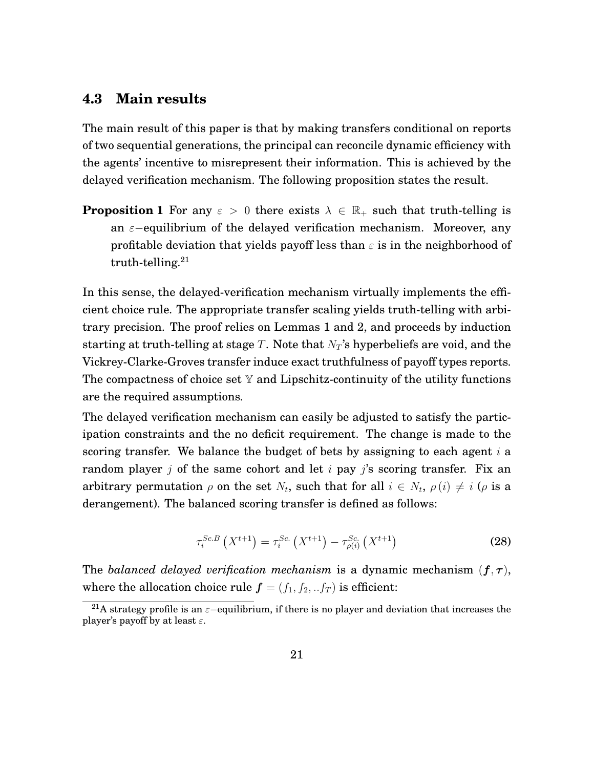#### <span id="page-22-0"></span>**4.3 Main results**

The main result of this paper is that by making transfers conditional on reports of two sequential generations, the principal can reconcile dynamic efficiency with the agents' incentive to misrepresent their information. This is achieved by the delayed verification mechanism. The following proposition states the result.

**Proposition 1** For any  $\varepsilon > 0$  there exists  $\lambda \in \mathbb{R}_+$  such that truth-telling is an  $\varepsilon$ −equilibrium of the delayed verification mechanism. Moreover, any profitable deviation that yields payoff less than  $\varepsilon$  is in the neighborhood of truth-telling. $21$ 

In this sense, the delayed-verification mechanism virtually implements the efficient choice rule. The appropriate transfer scaling yields truth-telling with arbitrary precision. The proof relies on Lemmas 1 and 2, and proceeds by induction starting at truth-telling at stage T. Note that  $N_T$ 's hyperbeliefs are void, and the Vickrey-Clarke-Groves transfer induce exact truthfulness of payoff types reports. The compactness of choice set  $Y$  and Lipschitz-continuity of the utility functions are the required assumptions.

The delayed verification mechanism can easily be adjusted to satisfy the participation constraints and the no deficit requirement. The change is made to the scoring transfer. We balance the budget of bets by assigning to each agent  $i$  a random player *j* of the same cohort and let *i* pay *j*'s scoring transfer. Fix an arbitrary permutation  $\rho$  on the set  $N_t$ , such that for all  $i \in N_t$ ,  $\rho(i) \neq i$  ( $\rho$  is a derangement). The balanced scoring transfer is defined as follows:

<span id="page-22-2"></span>
$$
\tau_i^{Sc.B}\left(X^{t+1}\right) = \tau_i^{Sc.}\left(X^{t+1}\right) - \tau_{\rho(i)}^{Sc.}\left(X^{t+1}\right) \tag{28}
$$

The *balanced delayed verification mechanism* is a dynamic mechanism  $(f, \tau)$ , where the allocation choice rule  $f = (f_1, f_2, ... f_T)$  is efficient:

<span id="page-22-1"></span><sup>&</sup>lt;sup>21</sup>A strategy profile is an  $\varepsilon$ -equilibrium, if there is no player and deviation that increases the player's payoff by at least  $\varepsilon$ .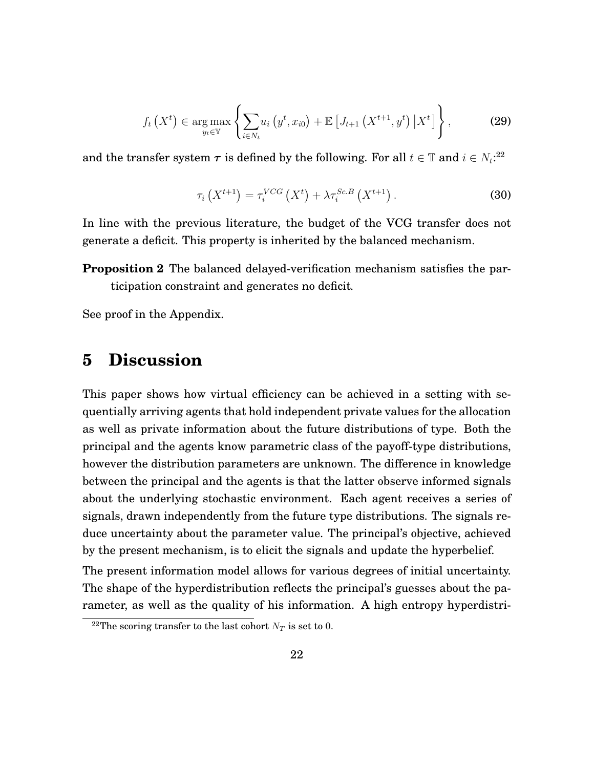$$
f_t(X^t) \in \arg\max_{y_t \in \mathbb{Y}} \left\{ \sum_{i \in N_t} u_i(y^t, x_{i0}) + \mathbb{E} \left[ J_{t+1}(X^{t+1}, y^t) \, \big| \, X^t \right] \right\},\tag{29}
$$

and the transfer system  $\tau$  is defined by the following. For all  $t \in \mathbb{T}$  and  $i \in N_t$ <sup>[22](#page-23-0)</sup>

$$
\tau_i\left(X^{t+1}\right) = \tau_i^{VCG}\left(X^t\right) + \lambda \tau_i^{Sc.B}\left(X^{t+1}\right). \tag{30}
$$

In line with the previous literature, the budget of the VCG transfer does not generate a deficit. This property is inherited by the balanced mechanism.

**Proposition 2** The balanced delayed-verification mechanism satisfies the participation constraint and generates no deficit*.*

See proof in the [Appendix.](#page-25-0)

# **5 Discussion**

This paper shows how virtual efficiency can be achieved in a setting with sequentially arriving agents that hold independent private values for the allocation as well as private information about the future distributions of type. Both the principal and the agents know parametric class of the payoff-type distributions, however the distribution parameters are unknown. The difference in knowledge between the principal and the agents is that the latter observe informed signals about the underlying stochastic environment. Each agent receives a series of signals, drawn independently from the future type distributions. The signals reduce uncertainty about the parameter value. The principal's objective, achieved by the present mechanism, is to elicit the signals and update the hyperbelief.

The present information model allows for various degrees of initial uncertainty. The shape of the hyperdistribution reflects the principal's guesses about the parameter, as well as the quality of his information. A high entropy hyperdistri-

<span id="page-23-0"></span><sup>&</sup>lt;sup>22</sup>The scoring transfer to the last cohort  $N_T$  is set to 0.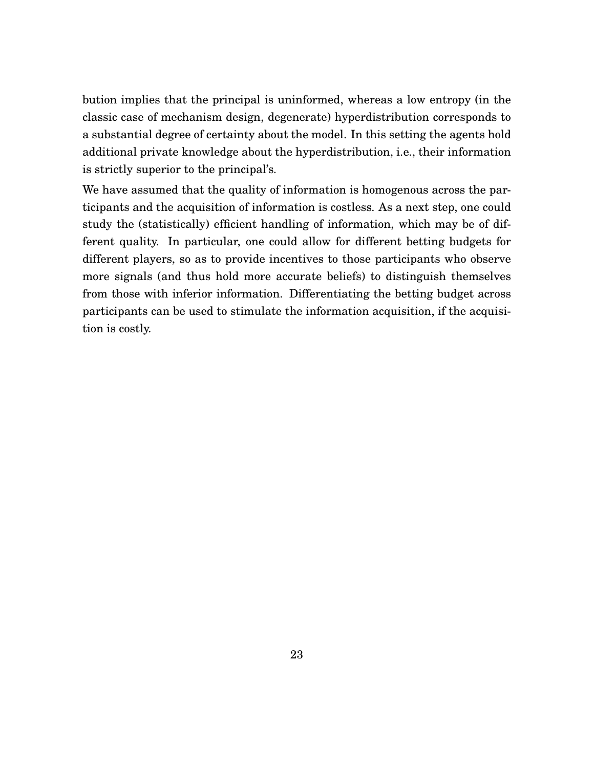bution implies that the principal is uninformed, whereas a low entropy (in the classic case of mechanism design, degenerate) hyperdistribution corresponds to a substantial degree of certainty about the model. In this setting the agents hold additional private knowledge about the hyperdistribution, i.e., their information is strictly superior to the principal's.

We have assumed that the quality of information is homogenous across the participants and the acquisition of information is costless. As a next step, one could study the (statistically) efficient handling of information, which may be of different quality. In particular, one could allow for different betting budgets for different players, so as to provide incentives to those participants who observe more signals (and thus hold more accurate beliefs) to distinguish themselves from those with inferior information. Differentiating the betting budget across participants can be used to stimulate the information acquisition, if the acquisition is costly.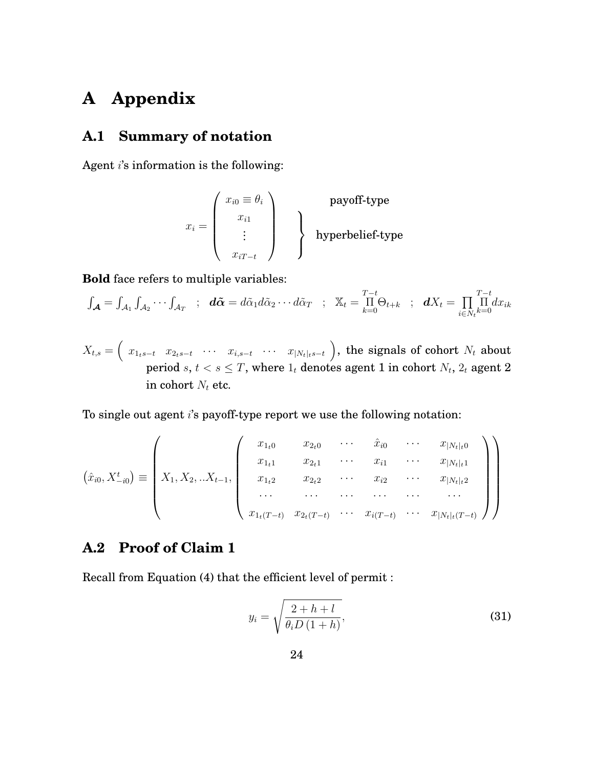# <span id="page-25-0"></span>**A Appendix**

# **A.1 Summary of notation**

Agent  $i$ 's information is the following:

$$
x_i = \left(\begin{array}{c} x_{i0} \equiv \theta_i \\ x_{i1} \\ \vdots \\ x_{iT-t} \end{array}\right)
$$
 **payoff-type hyperbelief-type**

**Bold** face refers to multiple variables:

$$
\int_{\mathcal{A}} = \int_{\mathcal{A}_1} \int_{\mathcal{A}_2} \cdots \int_{\mathcal{A}_T} \; ; \; \; d\tilde{\alpha} = d\tilde{\alpha}_1 d\tilde{\alpha}_2 \cdots d\tilde{\alpha}_T \; ; \; \; \mathbb{X}_t = \prod_{k=0}^{T-t} \Theta_{t+k} \; ; \; \; dX_t = \prod_{i \in N_t} \prod_{k=0}^{T-t} dx_{ik}
$$

$$
X_{t,s} = \left( \begin{array}{cccc} x_{1_ts-t} & x_{2_ts-t} & \cdots & x_{i,s-t} & \cdots & x_{|N_t|ts-t} \end{array} \right)
$$
, the signals of cohort  $N_t$  about period  $s, t < s \leq T$ , where  $1_t$  denotes agent 1 in cohort  $N_t$ ,  $2_t$  agent 2 in cohort  $N_t$  etc.

To single out agent i's payoff-type report we use the following notation:

$$
(\hat{x}_{i0}, X_{-i0}^t) \equiv \begin{pmatrix} x_{1,1} & x_{2,0} & \cdots & \hat{x}_{i0} & \cdots & x_{|N_t|_t0} \\ x_{1,1} & x_{2,1} & \cdots & x_{i1} & \cdots & x_{|N_t|_t1} \\ x_{1,2} & x_{2,2} & \cdots & x_{i2} & \cdots & x_{|N_t|_t2} \\ \cdots & \cdots & \cdots & \cdots & \cdots & \cdots \\ x_{1_t(T-t)} & x_{2_t(T-t)} & \cdots & x_{i(T-t)} & \cdots & x_{|N_t|_t(T-t)} \end{pmatrix}
$$

### **A.2 Proof of Claim 1**

Recall from Equation [\(4\)](#page-8-1) that the efficient level of permit :

$$
y_i = \sqrt{\frac{2+h+l}{\theta_i D\left(1+h\right)}},\tag{31}
$$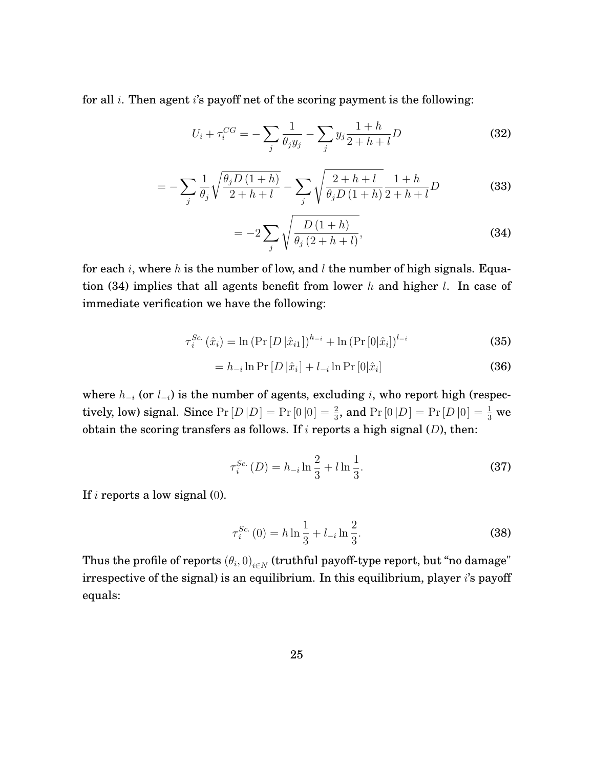for all  $i$ . Then agent  $i$ 's payoff net of the scoring payment is the following:

$$
U_i + \tau_i^{CG} = -\sum_j \frac{1}{\theta_j y_j} - \sum_j y_j \frac{1+h}{2+h+l} D
$$
 (32)

$$
= -\sum_{j} \frac{1}{\theta_{j}} \sqrt{\frac{\theta_{j} D (1+h)}{2+h+l}} - \sum_{j} \sqrt{\frac{2+h+l}{\theta_{j} D (1+h)}} \frac{1+h}{2+h+l} D
$$
(33)

<span id="page-26-0"></span>
$$
= -2 \sum_{j} \sqrt{\frac{D(1+h)}{\theta_j (2+h+l)}},
$$
\n(34)

for each i, where h is the number of low, and  $l$  the number of high signals. Equa-tion [\(34\)](#page-26-0) implies that all agents benefit from lower  $h$  and higher  $l$ . In case of immediate verification we have the following:

$$
\tau_i^{Sc.}(\hat{x}_i) = \ln \left( \Pr\left[D \left| \hat{x}_{i1} \right|\right)^{h_{-i}} + \ln \left( \Pr\left[0 \left| \hat{x}_i\right|\right)^{l_{-i}} \right) \right)
$$
(35)

$$
= h_{-i} \ln \Pr[D|\hat{x}_i] + l_{-i} \ln \Pr[0|\hat{x}_i]
$$
\n(36)

where  $h_{-i}$  (or  $l_{-i}$ ) is the number of agents, excluding i, who report high (respectively, low) signal. Since  $Pr[D|D] = Pr[0|0] = \frac{2}{3}$ , and  $Pr[0|D] = Pr[D|0] = \frac{1}{3}$  we obtain the scoring transfers as follows. If  $i$  reports a high signal  $(D)$ , then:

$$
\tau_i^{Sc.}(D) = h_{-i} \ln \frac{2}{3} + l \ln \frac{1}{3}.
$$
 (37)

If i reports a low signal  $(0)$ .

$$
\tau_i^{Sc.}(0) = h \ln \frac{1}{3} + l_{-i} \ln \frac{2}{3}.
$$
\n(38)

Thus the profile of reports  $\left(\theta_{i},0\right)_{i\in N}$  (truthful payoff-type report, but "no damage" irrespective of the signal) is an equilibrium. In this equilibrium, player *i*'s payoff equals: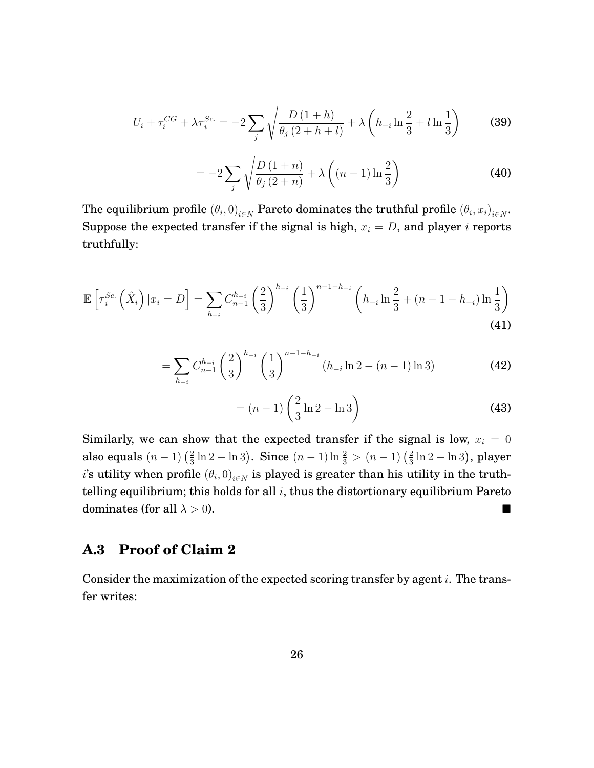$$
U_i + \tau_i^{CG} + \lambda \tau_i^{Sc.} = -2 \sum_j \sqrt{\frac{D(1+h)}{\theta_j(2+h+l)}} + \lambda \left( h_{-i} \ln \frac{2}{3} + l \ln \frac{1}{3} \right)
$$
 (39)

$$
= -2\sum_{j} \sqrt{\frac{D(1+n)}{\theta_j(2+n)}} + \lambda \left( (n-1)\ln\frac{2}{3} \right)
$$
 (40)

The equilibrium profile  $\left(\theta_i,0\right)_{i\in N}$  Pareto dominates the truthful profile  $\left(\theta_i,x_i\right)_{i\in N}.$ Suppose the expected transfer if the signal is high,  $x_i = D$ , and player *i* reports truthfully:

$$
\mathbb{E}\left[\tau_i^{Sc.}\left(\hat{X}_i\right)|x_i = D\right] = \sum_{h_{-i}} C_{n-1}^{h_{-i}} \left(\frac{2}{3}\right)^{h_{-i}} \left(\frac{1}{3}\right)^{n-1-h_{-i}} \left(h_{-i}\ln\frac{2}{3} + (n-1-h_{-i})\ln\frac{1}{3}\right)
$$
\n(41)

$$
= \sum_{h_{-i}} C_{n-1}^{h_{-i}} \left(\frac{2}{3}\right)^{h_{-i}} \left(\frac{1}{3}\right)^{n-1-h_{-i}} (h_{-i} \ln 2 - (n-1) \ln 3)
$$
 (42)

$$
= (n-1) \left(\frac{2}{3} \ln 2 - \ln 3\right)
$$
 (43)

Similarly, we can show that the expected transfer if the signal is low,  $x_i = 0$ also equals  $(n-1)$   $\left(\frac{2}{3}\right)$  $\frac{2}{3}\ln 2 - \ln 3$ ). Since  $(n-1)\ln \frac{2}{3} > (n-1)\left(\frac{2}{3}\right)$  $\frac{2}{3}\ln 2 - \ln 3$ ), player  $i$ 's utility when profile  $\left(\theta_{i},0\right)_{i\in N}$  is played is greater than his utility in the truthtelling equilibrium; this holds for all  $i$ , thus the distortionary equilibrium Pareto dominates (for all  $\lambda > 0$ ).

#### **A.3 Proof of Claim 2**

Consider the maximization of the expected scoring transfer by agent  $i$ . The transfer writes: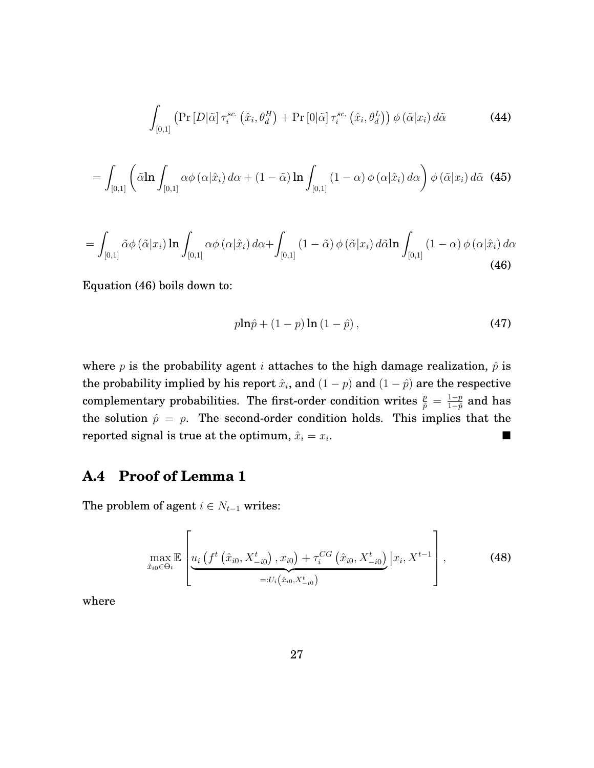$$
\int_{[0,1]} \left( \Pr\left[ D|\tilde{\alpha}\right] \tau_i^{sc} \left( \hat{x}_i, \theta_d^H \right) + \Pr\left[0|\tilde{\alpha}\right] \tau_i^{sc} \left( \hat{x}_i, \theta_d^L \right) \right) \phi\left( \tilde{\alpha} | x_i \right) d\tilde{\alpha} \tag{44}
$$

$$
= \int_{[0,1]} \left( \tilde{\alpha} \ln \int_{[0,1]} \alpha \phi(\alpha | \hat{x}_i) d\alpha + (1 - \tilde{\alpha}) \ln \int_{[0,1]} (1 - \alpha) \phi(\alpha | \hat{x}_i) d\alpha \right) \phi(\tilde{\alpha} | x_i) d\tilde{\alpha}
$$
 (45)

<span id="page-28-0"></span>
$$
= \int_{[0,1]} \tilde{\alpha}\phi\left(\tilde{\alpha}|x_i\right) \ln \int_{[0,1]} \alpha\phi\left(\alpha|\hat{x}_i\right) d\alpha + \int_{[0,1]} \left(1-\tilde{\alpha}\right)\phi\left(\tilde{\alpha}|x_i\right) d\tilde{\alpha} \ln \int_{[0,1]} \left(1-\alpha\right)\phi\left(\alpha|\hat{x}_i\right) d\alpha
$$
\n(46)

Equation [\(46\)](#page-28-0) boils down to:

$$
p\ln\hat{p} + (1-p)\ln(1-\hat{p}),\tag{47}
$$

where p is the probability agent i attaches to the high damage realization,  $\hat{p}$  is the probability implied by his report  $\hat{x}_i$ , and  $(1-p)$  and  $(1-\hat{p})$  are the respective complementary probabilities. The first-order condition writes  $\frac{p}{\hat{p}} = \frac{1-p}{1-\hat{p}}$  $\frac{1-p}{1-p}$  and has the solution  $\hat{p} = p$ . The second-order condition holds. This implies that the reported signal is true at the optimum,  $\hat{x}_i = x_i$ . .

### **A.4 Proof of Lemma 1**

The problem of agent  $i \in N_{t-1}$  writes:

$$
\max_{\hat{x}_{i0}\in\Theta_{t}}\mathbb{E}\left[\underbrace{u_{i}\left(f^{t}\left(\hat{x}_{i0},X_{-i0}^{t}\right),x_{i0}\right)+\tau_{i}^{CG}\left(\hat{x}_{i0},X_{-i0}^{t}\right)}_{=:U_{i}\left(\hat{x}_{i0},X_{-i0}^{t}\right)}\Big| x_{i},X^{t-1}\right],
$$
\n(48)

where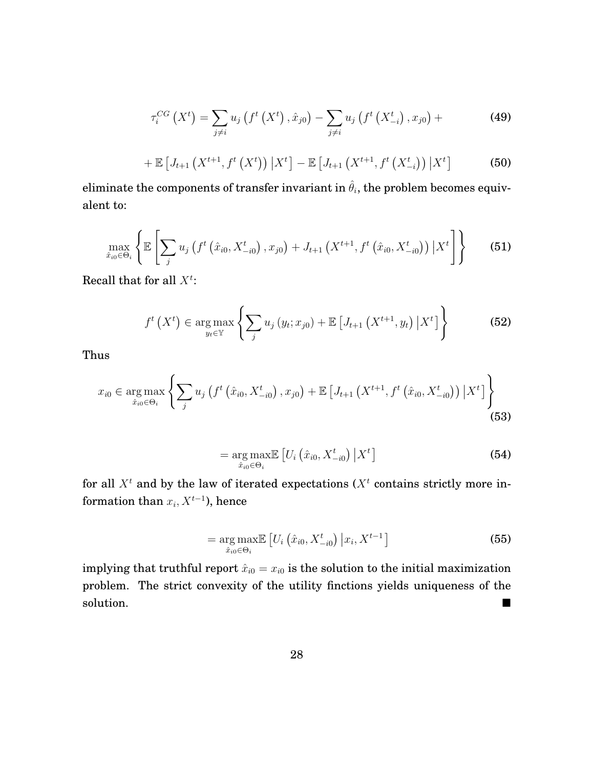$$
\tau_i^{CG}\left(X^t\right) = \sum_{j \neq i} u_j \left(f^t\left(X^t\right), \hat{x}_{j0}\right) - \sum_{j \neq i} u_j \left(f^t\left(X^t_{-i}\right), x_{j0}\right) + \tag{49}
$$

+ 
$$
\mathbb{E}\left[J_{t+1}\left(X^{t+1}, f^{t}\left(X^{t}\right)\right) \big| X^{t}\right] - \mathbb{E}\left[J_{t+1}\left(X^{t+1}, f^{t}\left(X^{t}_{-i}\right)\right) \big| X^{t}\right]
$$
 (50)

eliminate the components of transfer invariant in  $\hat{\theta}_i$ , the problem becomes equivalent to:

$$
\max_{\hat{x}_{i0}\in\Theta_{i}}\left\{\mathbb{E}\left[\sum_{j}u_{j}\left(f^{t}\left(\hat{x}_{i0},X_{-i0}^{t}\right),x_{j0}\right)+J_{t+1}\left(X^{t+1},f^{t}\left(\hat{x}_{i0},X_{-i0}^{t}\right)\right)\big|X^{t}\right]\right\}\
$$
(51)

Recall that for all  $X^t$ :

$$
f^{t}\left(X^{t}\right) \in \arg\max_{y_{t}\in\mathbb{Y}}\left\{\sum_{j} u_{j}\left(y_{t}; x_{j0}\right) + \mathbb{E}\left[J_{t+1}\left(X^{t+1}, y_{t}\right) \big| X^{t}\right]\right\}
$$
(52)

Thus

$$
x_{i0} \in \underset{\hat{x}_{i0} \in \Theta_i}{\arg \max} \left\{ \sum_j u_j \left( f^t \left( \hat{x}_{i0}, X^t_{-i0} \right), x_{j0} \right) + \mathbb{E} \left[ J_{t+1} \left( X^{t+1}, f^t \left( \hat{x}_{i0}, X^t_{-i0} \right) \right) \big| X^t \right] \right\}
$$
(53)

$$
= \underset{\hat{x}_{i0} \in \Theta_i}{\arg \max} \mathbb{E} \left[ U_i \left( \hat{x}_{i0}, X_{-i0}^t \right) \big| X^t \right] \tag{54}
$$

for all  $X<sup>t</sup>$  and by the law of iterated expectations ( $X<sup>t</sup>$  contains strictly more information than  $x_i, X^{t-1}$ ), hence

$$
= \underset{\hat{x}_{i0} \in \Theta_i}{\arg \max} \mathbb{E} \left[ U_i \left( \hat{x}_{i0}, X_{-i0}^t \right) \big| x_i, X^{t-1} \right] \tag{55}
$$

implying that truthful report  $\hat{x}_{i0} = x_{i0}$  is the solution to the initial maximization problem. The strict convexity of the utility finctions yields uniqueness of the solution.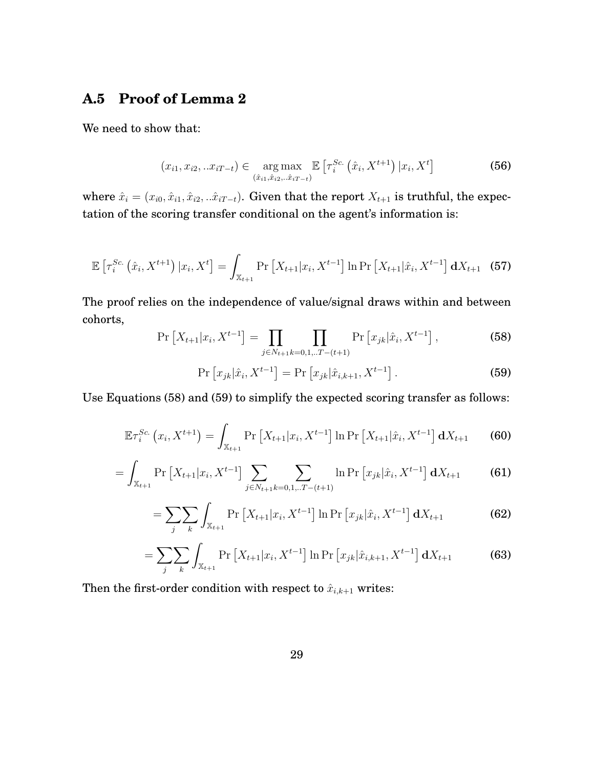#### **A.5 Proof of Lemma 2**

We need to show that:

$$
(x_{i1}, x_{i2}, ... x_{iT-t}) \in \underset{(\hat{x}_{i1}, \hat{x}_{i2}, ... \hat{x}_{iT-t})}{\arg \max} \mathbb{E}\left[\tau_i^{Sc.}(\hat{x}_i, X^{t+1}) \, | x_i, X^t\right] \tag{56}
$$

where  $\hat{x}_i = (x_{i0}, \hat{x}_{i1}, \hat{x}_{i2}, \hat{x}_{iT-t})$ . Given that the report  $X_{t+1}$  is truthful, the expectation of the scoring transfer conditional on the agent's information is:

$$
\mathbb{E}\left[\tau_i^{Sc.}\left(\hat{x}_i, X^{t+1}\right)|x_i, X^t\right] = \int_{\mathbb{X}_{t+1}} \Pr\left[X_{t+1}|x_i, X^{t-1}\right] \ln \Pr\left[X_{t+1}|\hat{x}_i, X^{t-1}\right] \mathbf{d}X_{t+1} \tag{57}
$$

The proof relies on the independence of value/signal draws within and between cohorts,

<span id="page-30-0"></span>
$$
\Pr\left[X_{t+1}|x_i, X^{t-1}\right] = \prod_{j \in N_{t+1}} \prod_{k=0,1...T-(t+1)} \Pr\left[x_{jk}|\hat{x}_i, X^{t-1}\right],\tag{58}
$$

<span id="page-30-1"></span>
$$
\Pr\left[x_{jk}|\hat{x}_i, X^{t-1}\right] = \Pr\left[x_{jk}|\hat{x}_{i,k+1}, X^{t-1}\right].
$$
\n(59)

Use Equations [\(58\)](#page-30-0) and [\(59\)](#page-30-1) to simplify the expected scoring transfer as follows:

$$
\mathbb{E}\tau_i^{Sc.}\left(x_i, X^{t+1}\right) = \int_{\mathbb{X}_{t+1}} \Pr\left[X_{t+1} | x_i, X^{t-1}\right] \ln \Pr\left[X_{t+1} | \hat{x}_i, X^{t-1}\right] \mathbf{d}X_{t+1} \tag{60}
$$

$$
= \int_{\mathbb{X}_{t+1}} \Pr\left[X_{t+1}|x_i, X^{t-1}\right] \sum_{j \in N_{t+1}} \sum_{k=0,1...T-(t+1)} \ln \Pr\left[x_{jk}|\hat{x}_i, X^{t-1}\right] \mathbf{d}X_{t+1} \tag{61}
$$

$$
= \sum_{j} \sum_{k} \int_{\mathbb{X}_{t+1}} \Pr\left[X_{t+1} | x_i, X^{t-1}\right] \ln \Pr\left[x_{jk} | \hat{x}_i, X^{t-1}\right] \mathbf{d} X_{t+1} \tag{62}
$$

$$
= \sum_{j} \sum_{k} \int_{\mathbb{X}_{t+1}} \Pr\left[X_{t+1} | x_i, X^{t-1}\right] \ln \Pr\left[x_{jk} | \hat{x}_{i,k+1}, X^{t-1}\right] \mathbf{d}X_{t+1} \tag{63}
$$

Then the first-order condition with respect to  $\hat{x}_{i,k+1}$  writes: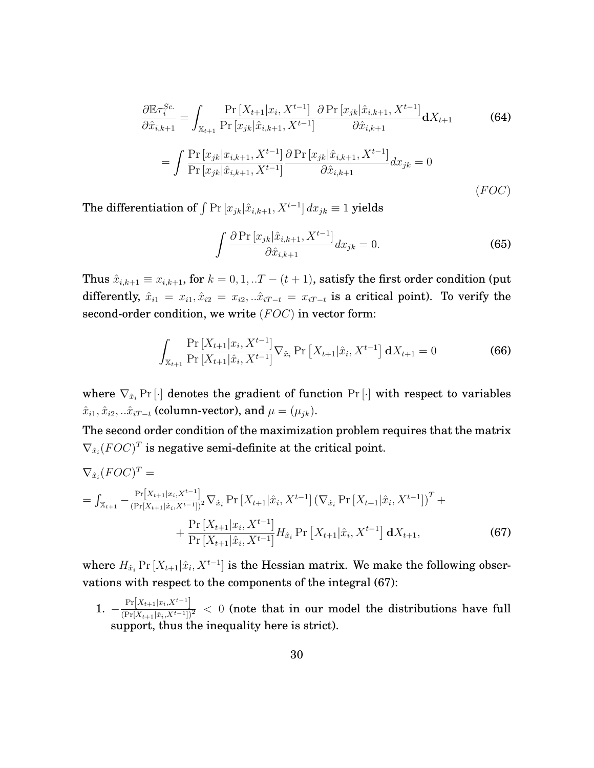$$
\frac{\partial \mathbb{E}\tau_{i}^{Sc.}}{\partial \hat{x}_{i,k+1}} = \int_{\mathbb{X}_{t+1}} \frac{\Pr\left[X_{t+1}|x_{i}, X^{t-1}\right]}{\Pr\left[x_{jk}|\hat{x}_{i,k+1}, X^{t-1}\right]} \frac{\partial \Pr\left[x_{jk}|\hat{x}_{i,k+1}, X^{t-1}\right]}{\partial \hat{x}_{i,k+1}} dX_{t+1}
$$
\n
$$
= \int \frac{\Pr\left[x_{jk}|x_{i,k+1}, X^{t-1}\right]}{\Pr\left[x_{jk}|\hat{x}_{i,k+1}, X^{t-1}\right]} \frac{\partial \Pr\left[x_{jk}|\hat{x}_{i,k+1}, X^{t-1}\right]}{\partial \hat{x}_{i,k+1}} d x_{jk} = 0
$$
\n
$$
(FOC)
$$

The differentiation of  $\int \Pr\left[x_{jk}|\hat{x}_{i,k+1},X^{t-1}\right]dx_{jk}\equiv 1$  yields

<span id="page-31-1"></span>
$$
\int \frac{\partial \Pr\left[x_{jk}|\hat{x}_{i,k+1}, X^{t-1}\right]}{\partial \hat{x}_{i,k+1}} dx_{jk} = 0.
$$
\n(65)

Thus  $\hat{x}_{i,k+1} \equiv x_{i,k+1}$ , for  $k = 0, 1, ...T - (t+1)$ , satisfy the first order condition (put differently,  $\hat{x}_{i1} = x_{i1}, \hat{x}_{i2} = x_{i2}, \hat{x}_{iT-t} = x_{iT-t}$  is a critical point). To verify the second-order condition, we write  $(FOC)$  in vector form:

$$
\int_{\mathbb{X}_{t+1}} \frac{\Pr\left[X_{t+1}|x_i, X^{t-1}\right]}{\Pr\left[X_{t+1}|\hat{x}_i, X^{t-1}\right]} \nabla_{\hat{x}_i} \Pr\left[X_{t+1}|\hat{x}_i, X^{t-1}\right] \mathbf{d}X_{t+1} = 0 \tag{66}
$$

where  $\nabla_{\hat{x}_i} \Pr[\cdot]$  denotes the gradient of function  $\Pr[\cdot]$  with respect to variables  $\hat{x}_{i1}, \hat{x}_{i2}, \dots \hat{x}_{iT-t}$  (column-vector), and  $\mu = (\mu_{jk})$ .

The second order condition of the maximization problem requires that the matrix  $\nabla_{\hat{x}_i} (FOC)^T$  is negative semi-definite at the critical point.

$$
\nabla_{\hat{x}_{i}}(FOC)^{T} =
$$
\n
$$
= \int_{\mathbb{X}_{t+1}} -\frac{\Pr[X_{t+1}|x_{i}, X^{t-1}]}{(\Pr[X_{t+1}|\hat{x}_{i}, X^{t-1}])^{2}} \nabla_{\hat{x}_{i}} \Pr[X_{t+1}|\hat{x}_{i}, X^{t-1}] \left(\nabla_{\hat{x}_{i}} \Pr[X_{t+1}|\hat{x}_{i}, X^{t-1}]\right)^{T} +
$$
\n
$$
+ \frac{\Pr[X_{t+1}|x_{i}, X^{t-1}]}{\Pr[X_{t+1}|\hat{x}_{i}, X^{t-1}]} H_{\hat{x}_{i}} \Pr[X_{t+1}|\hat{x}_{i}, X^{t-1}] dX_{t+1}, \tag{67}
$$

<span id="page-31-0"></span>where  $H_{\hat{x}_i}$  Pr  $[X_{t+1}|\hat{x}_i, X^{t-1}]$  is the Hessian matrix. We make the following observations with respect to the components of the integral [\(67\)](#page-31-0):

1.  $-\frac{\Pr[X_{t+1}|x_i,X^{t-1}]}{\left(\Pr[X_{t+1}|\hat{x}_i,X^{t-1}]\right)^2}$  < 0 (note that in our model the distributions have full support, thus the inequality here is strict).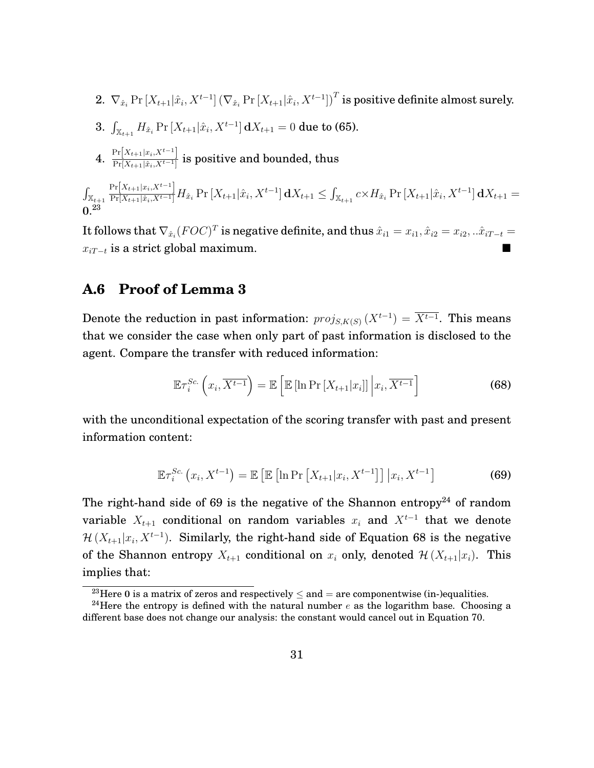2. 
$$
\nabla_{\hat{x}_i} \Pr[X_{t+1} | \hat{x}_i, X^{t-1}] (\nabla_{\hat{x}_i} \Pr[X_{t+1} | \hat{x}_i, X^{t-1}])^T
$$
 is positive definite almost surely.

- $3. \ \int_{\mathbb{X}_{t+1}} H_{\hat{x}_i} \Pr\left[X_{t+1} | \hat{x}_i, X^{t-1}\right] \mathrm{d}X_{t+1} = 0 \text{ due to (65).}$  $3. \ \int_{\mathbb{X}_{t+1}} H_{\hat{x}_i} \Pr\left[X_{t+1} | \hat{x}_i, X^{t-1}\right] \mathrm{d}X_{t+1} = 0 \text{ due to (65).}$  $3. \ \int_{\mathbb{X}_{t+1}} H_{\hat{x}_i} \Pr\left[X_{t+1} | \hat{x}_i, X^{t-1}\right] \mathrm{d}X_{t+1} = 0 \text{ due to (65).}$
- 4.  $\frac{\Pr[X_{t+1}|x_i, X^{t-1}]}{\Pr[X_{t+1}|\hat{x}_t, X^{t-1}]}$  $\frac{\prod_{i=1}^{n} (X_{t+1} | \hat{x}_i, X_t-1)}{\Pr[X_{t+1} | \hat{x}_i, X_t-1]}$  is positive and bounded, thus

 $\int_{\mathbb{X}_{t+1}}$  $\frac{\Pr[X_{t+1}|x_i,X^{t-1}]}{\Pr[X_{t+1}|\hat{x}_i,X^{t-1}]}H_{\hat{x}_i}\Pr\left[X_{t+1}|\hat{x}_i,X^{t-1}\right]\mathbf{d}X_{t+1}\leq \int_{\mathbb{X}_{t+1}}c\times H_{\hat{x}_i}\Pr\left[X_{t+1}|\hat{x}_i,X^{t-1}\right]\mathbf{d}X_{t+1}=0$  $0.^{23}$  $0.^{23}$  $0.^{23}$ 

It follows that  $\nabla_{\hat{x}_i} (FOC)^T$  is negative definite, and thus  $\hat{x}_{i1} = x_{i1}, \hat{x}_{i2} = x_{i2}, ... \hat{x}_{iT-t} =$  $x_{iT-t}$  is a strict global maximum.

#### **A.6 Proof of Lemma 3**

Denote the reduction in past information:  $proj_{S,K(S)}(X^{t-1}) = \overline{X^{t-1}}$ . This means that we consider the case when only part of past information is disclosed to the agent. Compare the transfer with reduced information:

<span id="page-32-3"></span>
$$
\mathbb{E}\tau_i^{Sc.}\left(x_i,\overline{X^{t-1}}\right) = \mathbb{E}\left[\mathbb{E}\left[\ln \Pr\left[X_{t+1}|x_i\right]\right]\bigg|x_i,\overline{X^{t-1}}\right]
$$
(68)

with the unconditional expectation of the scoring transfer with past and present information content:

<span id="page-32-1"></span>
$$
\mathbb{E}\tau_i^{Sc.}(x_i, X^{t-1}) = \mathbb{E}\left[\mathbb{E}\left[\ln \Pr\left[X_{t+1}|x_i, X^{t-1}\right]\right] | x_i, X^{t-1}\right] \tag{69}
$$

The right-hand side of [69](#page-32-1) is the negative of the Shannon entropy<sup>[24](#page-32-2)</sup> of random variable  $X_{t+1}$  conditional on random variables  $x_i$  and  $X^{t-1}$  that we denote  $\mathcal{H}(X_{t+1}|x_i, X^{t-1})$ . Similarly, the right-hand side of Equation [68](#page-32-3) is the negative of the Shannon entropy  $X_{t+1}$  conditional on  $x_i$  only, denoted  $\mathcal{H}(X_{t+1}|x_i)$ . This implies that:

<span id="page-32-2"></span><span id="page-32-0"></span><sup>&</sup>lt;sup>23</sup>Here 0 is a matrix of zeros and respectively  $\leq$  and  $=$  are componentwise (in-)equalities.

<sup>&</sup>lt;sup>24</sup>Here the entropy is defined with the natural number e as the logarithm base. Choosing a different base does not change our analysis: the constant would cancel out in Equation [70.](#page-33-0)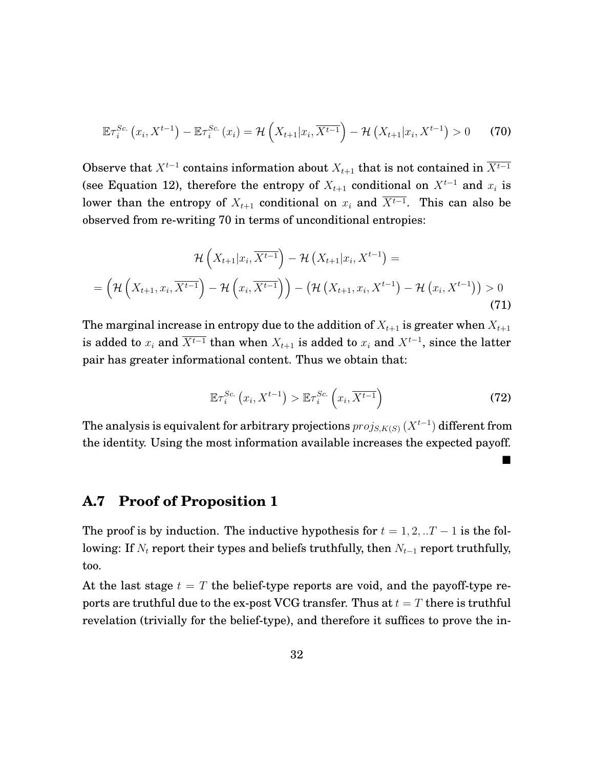<span id="page-33-0"></span>
$$
\mathbb{E}\tau_i^{Sc.}\left(x_i, X^{t-1}\right) - \mathbb{E}\tau_i^{Sc.}\left(x_i\right) = \mathcal{H}\left(X_{t+1}|x_i, \overline{X^{t-1}}\right) - \mathcal{H}\left(X_{t+1}|x_i, X^{t-1}\right) > 0 \tag{70}
$$

Observe that  $X^{t-1}$  contains information about  $X_{t+1}$  that is not contained in  $\overline{X^{t-1}}$ (see Equation [12\)](#page-14-0), therefore the entropy of  $X_{t+1}$  conditional on  $X^{t-1}$  and  $x_i$  is lower than the entropy of  $X_{t+1}$  conditional on  $x_i$  and  $X^{t-1}$ . This can also be observed from re-writing [70](#page-33-0) in terms of unconditional entropies:

$$
\mathcal{H}\left(X_{t+1}|x_{i}, \overline{X^{t-1}}\right) - \mathcal{H}\left(X_{t+1}|x_{i}, X^{t-1}\right) = \\
= \left(\mathcal{H}\left(X_{t+1}, x_{i}, \overline{X^{t-1}}\right) - \mathcal{H}\left(x_{i}, \overline{X^{t-1}}\right)\right) - \left(\mathcal{H}\left(X_{t+1}, x_{i}, X^{t-1}\right) - \mathcal{H}\left(x_{i}, X^{t-1}\right)\right) > 0\n\tag{71}
$$

The marginal increase in entropy due to the addition of  $X_{t+1}$  is greater when  $X_{t+1}$ is added to  $x_i$  and  $\overline{X^{t-1}}$  than when  $X_{t+1}$  is added to  $x_i$  and  $X^{t-1}$ , since the latter pair has greater informational content. Thus we obtain that:

$$
\mathbb{E}\tau_i^{Sc.}\left(x_i, X^{t-1}\right) > \mathbb{E}\tau_i^{Sc.}\left(x_i, \overline{X^{t-1}}\right)
$$
\n(72)

The analysis is equivalent for arbitrary projections  $proj_{S,K(S)}\left(X^{t-1}\right)$  different from the identity. Using the most information available increases the expected payoff.

#### **A.7 Proof of Proposition 1**

The proof is by induction. The inductive hypothesis for  $t = 1, 2, ...T - 1$  is the following: If  $N_t$  report their types and beliefs truthfully, then  $N_{t-1}$  report truthfully, too.

At the last stage  $t = T$  the belief-type reports are void, and the payoff-type reports are truthful due to the ex-post VCG transfer. Thus at  $t = T$  there is truthful revelation (trivially for the belief-type), and therefore it suffices to prove the in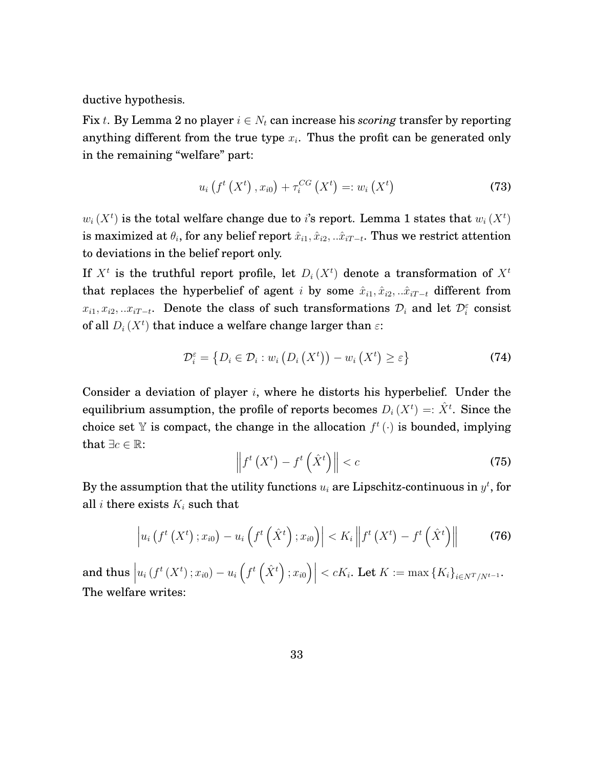ductive hypothesis.

Fix t. By Lemma 2 no player  $i \in N_t$  can increase his *scoring* transfer by reporting anything different from the true type  $x_i$ . Thus the profit can be generated only in the remaining "welfare" part:

$$
u_{i}\left(f^{t}\left(X^{t}\right), x_{i0}\right) + \tau_{i}^{CG}\left(X^{t}\right) =: w_{i}\left(X^{t}\right) \tag{73}
$$

 $w_i(X^t)$  is the total welfare change due to *i*'s report. Lemma 1 states that  $w_i(X^t)$ is maximized at  $\theta_i$ , for any belief report  $\hat{x}_{i1}, \hat{x}_{i2}, ..\hat{x}_{iT-t}.$  Thus we restrict attention to deviations in the belief report only.

If  $X^t$  is the truthful report profile, let  $D_i(X^t)$  denote a transformation of  $X^t$ that replaces the hyperbelief of agent i by some  $\hat{x}_{i1}, \hat{x}_{i2}, \dots \hat{x}_{iT-t}$  different from  $x_{i1}, x_{i2}, ... x_{iT-t}$ . Denote the class of such transformations  $\mathcal{D}_i$  and let  $\mathcal{D}_i^{\varepsilon}$  consist of all  $D_i$  ( $X^t$ ) that induce a welfare change larger than  $\varepsilon$ :

$$
\mathcal{D}_{i}^{\varepsilon} = \left\{ D_{i} \in \mathcal{D}_{i} : w_{i} \left( D_{i} \left( X^{t} \right) \right) - w_{i} \left( X^{t} \right) \geq \varepsilon \right\}
$$
\n(74)

Consider a deviation of player  $i$ , where he distorts his hyperbelief. Under the equilibrium assumption, the profile of reports becomes  $D_i(X^t) =: \hat{X}^t$ . Since the choice set Y is compact, the change in the allocation  $f^t(\cdot)$  is bounded, implying that  $\exists c \in \mathbb{R}$ :

$$
\left\|f^t\left(X^t\right) - f^t\left(\hat{X}^t\right)\right\| < c \tag{75}
$$

By the assumption that the utility functions  $u_i$  are Lipschitz-continuous in  $y^t$ , for all *i* there exists  $K_i$  such that

$$
\left| u_i\left(f^t\left(X^t\right);x_{i0}\right) - u_i\left(f^t\left(\hat{X}^t\right);x_{i0}\right) \right| < K_i \left\| f^t\left(X^t\right) - f^t\left(\hat{X}^t\right) \right\| \tag{76}
$$

and thus  $\Big|$  $u_i(f^t(X^t); x_{i0}) - u_i(f^t(\hat{X}^t); x_{i0})\Big|$  $\langle cK_i, \text{ Let } K := \max\{K_i\}_{i \in N^T / N^{t-1}}.$ The welfare writes: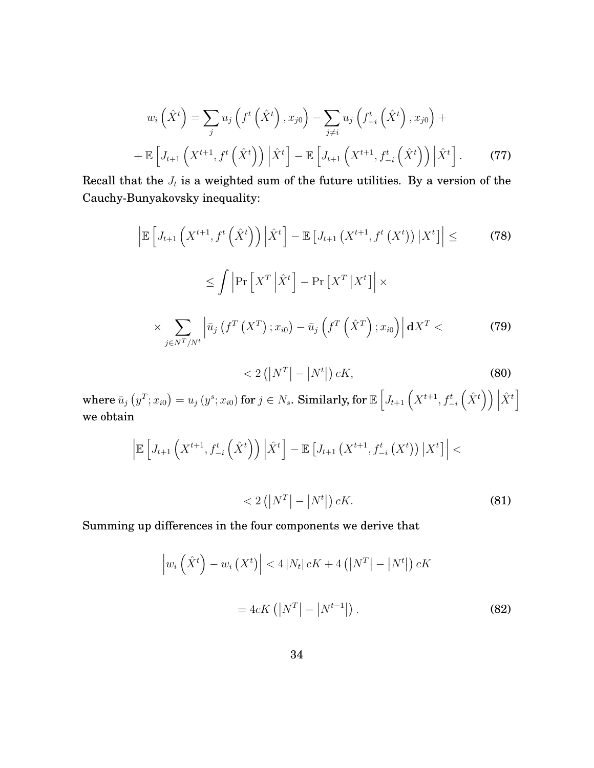$$
w_i\left(\hat{X}^t\right) = \sum_j u_j\left(f^t\left(\hat{X}^t\right), x_{j0}\right) - \sum_{j \neq i} u_j\left(f^t_{-i}\left(\hat{X}^t\right), x_{j0}\right) + \n+ \mathbb{E}\left[J_{t+1}\left(X^{t+1}, f^t\left(\hat{X}^t\right)\right) \middle| \hat{X}^t\right] - \mathbb{E}\left[J_{t+1}\left(X^{t+1}, f^t_{-i}\left(\hat{X}^t\right)\right) \middle| \hat{X}^t\right].
$$
 (77)

Recall that the  $J_t$  is a weighted sum of the future utilities. By a version of the Cauchy-Bunyakovsky inequality:

$$
\left| \mathbb{E} \left[ J_{t+1} \left( X^{t+1}, f^t \left( \hat{X}^t \right) \right) \middle| \hat{X}^t \right] - \mathbb{E} \left[ J_{t+1} \left( X^{t+1}, f^t \left( X^t \right) \right) \middle| X^t \right] \right| \le \qquad (78)
$$
\n
$$
\leq \int \left| \Pr \left[ X^T \middle| \hat{X}^t \right] - \Pr \left[ X^T \middle| X^t \right] \right| \times
$$
\n
$$
\times \sum_{j \in N^T / N^t} \left| \bar{u}_j \left( f^T \left( X^T \right); x_{i0} \right) - \bar{u}_j \left( f^T \left( \hat{X}^T \right); x_{i0} \right) \right| \mathbf{d} X^T < \qquad (79)
$$

$$
\langle 2(|N^T|-|N^t|)\,cK,\tag{80}
$$

 $\text{where } \bar{u}_j\left(y^T;x_{i0}\right)=u_j\left(y^s;x_{i0}\right) \text{ for } j\in N_s. \text{ Similarly, for } \mathbb{E}\left[J_{t+1}\left(X^{t+1},f_{-i}^t\left(\hat{X}^t\right)\right)\Big|_{x=0} \right]$  $\hat{X}^t$ we obtain

$$
\left| \mathbb{E} \left[ J_{t+1} \left( X^{t+1}, f_{-i}^t \left( \hat{X}^t \right) \right) \Big| \hat{X}^t \right] - \mathbb{E} \left[ J_{t+1} \left( X^{t+1}, f_{-i}^t \left( X^t \right) \right) \Big| X^t \right] \right| < 2 \left( \left| N^T \right| - \left| N^t \right| \right) cK.
$$
 (81)

Summing up differences in the four components we derive that

$$
\left| w_i \left( \hat{X}^t \right) - w_i \left( X^t \right) \right| < 4 \left| N_t \right| cK + 4 \left( \left| N^T \right| - \left| N^t \right| \right) cK
$$
\n
$$
= 4cK \left( \left| N^T \right| - \left| N^{t-1} \right| \right). \tag{82}
$$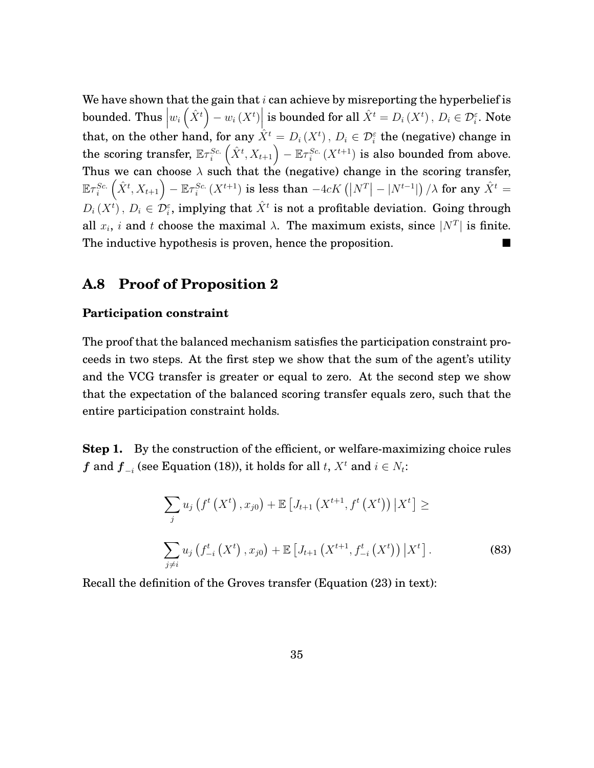We have shown that the gain that  $i$  can achieve by misreporting the hyperbelief is bounded. Thus  $\left|w_i\left(\hat{X}^t\right)-w_i\left(X^t\right)\right|$  is bounded for all  $\hat{X}^t=D_i\left(X^t\right),\,D_i\in\mathcal{D}_i^\varepsilon.$  Note that, on the other hand, for any  $\hat{X}^t = D_i(X^t)$ ,  $D_i \in \mathcal{D}_i^{\varepsilon}$  the (negative) change in the scoring transfer,  $\mathbb{E} \tau_i^{Sc.}\left(\hat{X}^t, X_{t+1}\right) - \mathbb{E} \tau_i^{Sc.}\left(X^{t+1}\right)$  is also bounded from above. Thus we can choose  $\lambda$  such that the (negative) change in the scoring transfer,  $\mathbb{E} \tau_i^{Sc.}\left(\hat{X}^t,X_{t+1}\right)-\mathbb{E} \tau_i^{Sc.}\left(X^{t+1}\right)$  is less than  $-4cK\left(\left|N^T\right|-\left|N^{t-1}\right|\right)/\lambda$  for any  $\hat{X}^t=0$  $D_i(X^t)$  ,  $D_i \in \mathcal{D}_i^\varepsilon$ , implying that  $\hat{X}^t$  is not a profitable deviation. Going through all  $x_i$ , i and t choose the maximal  $\lambda$ . The maximum exists, since  $|N^T|$  is finite. The inductive hypothesis is proven, hence the proposition.

#### **A.8 Proof of Proposition 2**

#### **Participation constraint**

The proof that the balanced mechanism satisfies the participation constraint proceeds in two steps. At the first step we show that the sum of the agent's utility and the VCG transfer is greater or equal to zero. At the second step we show that the expectation of the balanced scoring transfer equals zero, such that the entire participation constraint holds.

**Step 1.** By the construction of the efficient, or welfare-maximizing choice rules  $f$  and  $f_{-i}$  (see Equation [\(18\)](#page-15-0)), it holds for all  $t, X^t$  and  $i \in N_t$ :

<span id="page-36-0"></span>
$$
\sum_{j} u_{j} \left( f^{t} \left( X^{t} \right), x_{j0} \right) + \mathbb{E} \left[ J_{t+1} \left( X^{t+1}, f^{t} \left( X^{t} \right) \right) \big| X^{t} \right] \ge
$$
\n
$$
\sum_{j \neq i} u_{j} \left( f^{t}_{-i} \left( X^{t} \right), x_{j0} \right) + \mathbb{E} \left[ J_{t+1} \left( X^{t+1}, f^{t}_{-i} \left( X^{t} \right) \right) \big| X^{t} \right].
$$
\n(83)

Recall the definition of the Groves transfer (Equation [\(23\)](#page-19-0) in text):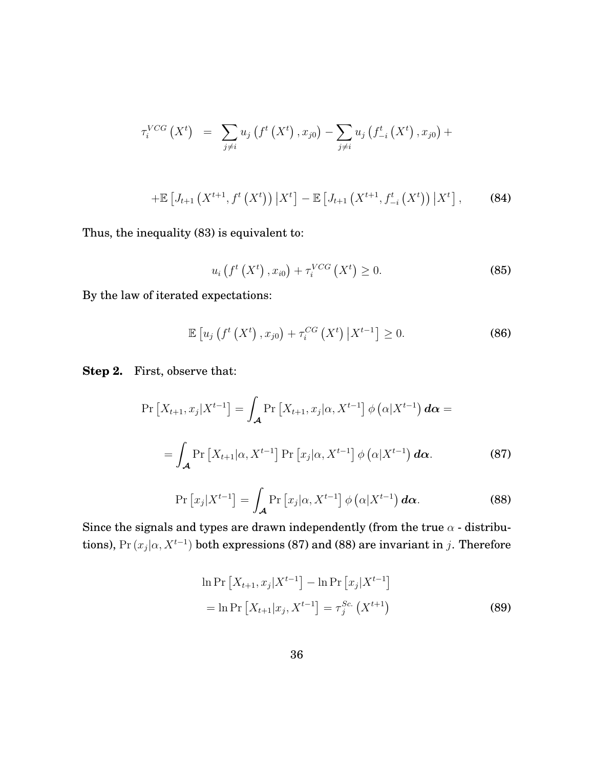$$
\tau_i^{VCG}(X^t) = \sum_{j \neq i} u_j \left( f^t \left( X^t \right), x_{j0} \right) - \sum_{j \neq i} u_j \left( f^t_{-i} \left( X^t \right), x_{j0} \right) +
$$
  
+ 
$$
\mathbb{E} \left[ J_{t+1} \left( X^{t+1}, f^t \left( X^t \right) \right) \big| X^t \right] - \mathbb{E} \left[ J_{t+1} \left( X^{t+1}, f^t_{-i} \left( X^t \right) \right) \big| X^t \right], \tag{84}
$$

Thus, the inequality [\(83\)](#page-36-0) is equivalent to:

$$
u_i(f^t(X^t), x_{i0}) + \tau_i^{VCG}(X^t) \ge 0.
$$
 (85)

By the law of iterated expectations:

$$
\mathbb{E}\left[u_j\left(f^t\left(X^t\right),x_{j0}\right)+\tau_i^{CG}\left(X^t\right)\left|X^{t-1}\right.\right]\geq 0.\tag{86}
$$

**Step 2.** First, observe that:

<span id="page-37-0"></span>
$$
\Pr\left[X_{t+1}, x_j | X^{t-1}\right] = \int_{\mathcal{A}} \Pr\left[X_{t+1}, x_j | \alpha, X^{t-1}\right] \phi\left(\alpha | X^{t-1}\right) d\alpha =
$$
\n
$$
= \int_{\mathcal{A}} \Pr\left[X_{t+1} | \alpha, X^{t-1}\right] \Pr\left[x_j | \alpha, X^{t-1}\right] \phi\left(\alpha | X^{t-1}\right) d\alpha. \tag{87}
$$

<span id="page-37-1"></span>
$$
\Pr\left[x_j|X^{t-1}\right] = \int_{\mathcal{A}} \Pr\left[x_j|\alpha, X^{t-1}\right] \phi\left(\alpha|X^{t-1}\right) d\alpha. \tag{88}
$$

Since the signals and types are drawn independently (from the true  $\alpha$  - distributions), Pr  $(x_j|\alpha, X^{t-1})$  both expressions [\(87\)](#page-37-0) and [\(88\)](#page-37-1) are invariant in j. Therefore

$$
\ln \Pr\left[X_{t+1}, x_j | X^{t-1}\right] - \ln \Pr\left[x_j | X^{t-1}\right]
$$
\n
$$
= \ln \Pr\left[X_{t+1} | x_j, X^{t-1}\right] = \tau_j^{Sc.} \left(X^{t+1}\right) \tag{89}
$$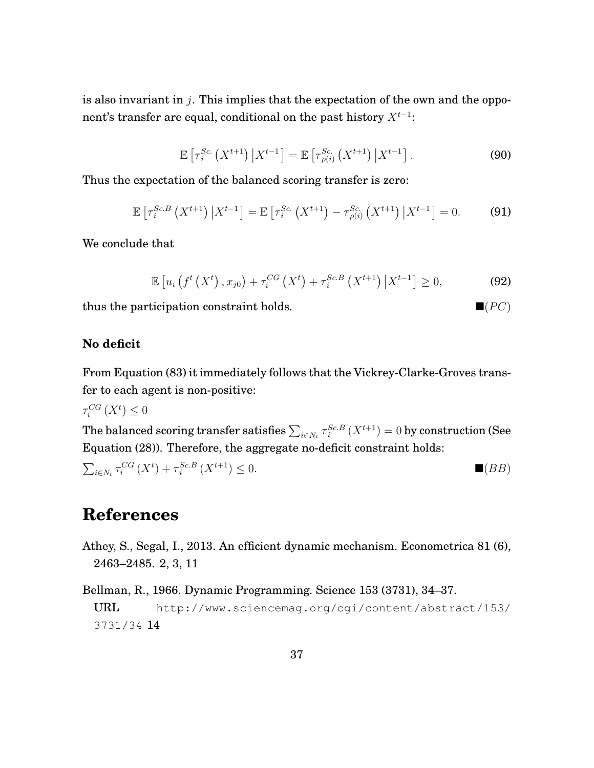is also invariant in  $j$ . This implies that the expectation of the own and the opponent's transfer are equal, conditional on the past history  $X^{t-1}$ :

$$
\mathbb{E}\left[\tau_i^{Sc.}\left(X^{t+1}\right)\big|X^{t-1}\right] = \mathbb{E}\left[\tau_{\rho(i)}^{Sc.}\left(X^{t+1}\right)\big|X^{t-1}\right].\tag{90}
$$

Thus the expectation of the balanced scoring transfer is zero:

$$
\mathbb{E}\left[\tau_i^{Sc,B}\left(X^{t+1}\right)\big|X^{t-1}\right] = \mathbb{E}\left[\tau_i^{Sc}\left(X^{t+1}\right) - \tau_{\rho(i)}^{Sc}\left(X^{t+1}\right)\big|X^{t-1}\right] = 0. \tag{91}
$$

We conclude that

$$
\mathbb{E}\left[u_{i}\left(f^{t}\left(X^{t}\right),x_{j0}\right)+\tau_{i}^{CG}\left(X^{t}\right)+\tau_{i}^{Sc.B}\left(X^{t+1}\right)\left|X^{t-1}\right.\right]\geq0,\tag{92}
$$

thus the participation constraint holds.  $\blacksquare (PC)$ 

#### **No deficit**

From Equation [\(83\)](#page-36-0) it immediately follows that the Vickrey-Clarke-Groves transfer to each agent is non-positive:

 $\tau_i^{CG}\left(X^t\right)\leq 0$ 

The balanced scoring transfer satisfies  $\sum_{i\in N_t}\tau_i^{Sc.B}\left(X^{t+1}\right)=0$  by construction (See Equation [\(28\)](#page-22-2)). Therefore, the aggregate no-deficit constraint holds:

$$
\sum_{i \in N_t} \tau_i^{CG}(X^t) + \tau_i^{Sc.B}(X^{t+1}) \le 0.
$$
 (BB)

# **References**

- <span id="page-38-0"></span>Athey, S., Segal, I., 2013. An efficient dynamic mechanism. Econometrica 81 (6), 2463–2485. [2,](#page-3-3) [3,](#page-4-2) [11](#page-12-1)
- <span id="page-38-1"></span>Bellman, R., 1966. Dynamic Programming. Science 153 (3731), 34–37. URL [http://www.sciencemag.org/cgi/content/abstract/153/](http://www.sciencemag.org/cgi/content/abstract/153/3731/34) [3731/34](http://www.sciencemag.org/cgi/content/abstract/153/3731/34) [14](#page-15-1)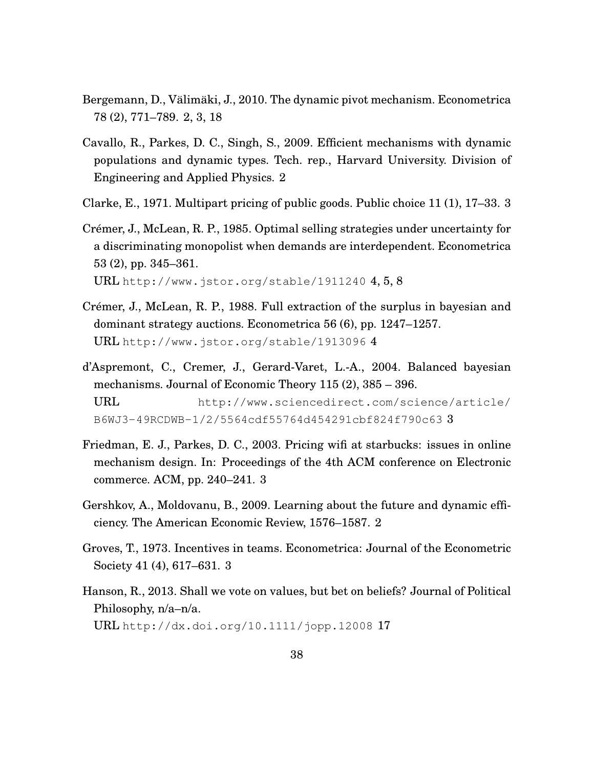- <span id="page-39-1"></span>Bergemann, D., Välimäki, J., 2010. The dynamic pivot mechanism. Econometrica 78 (2), 771–789. [2,](#page-3-3) [3,](#page-4-2) [18](#page-19-2)
- <span id="page-39-2"></span>Cavallo, R., Parkes, D. C., Singh, S., 2009. Efficient mechanisms with dynamic populations and dynamic types. Tech. rep., Harvard University. Division of Engineering and Applied Physics. [2](#page-3-3)
- <span id="page-39-3"></span>Clarke, E., 1971. Multipart pricing of public goods. Public choice 11 (1), 17–33. [3](#page-4-2)
- <span id="page-39-7"></span>Crémer, J., McLean, R. P., 1985. Optimal selling strategies under uncertainty for a discriminating monopolist when demands are interdependent. Econometrica 53 (2), pp. 345–361.

URL <http://www.jstor.org/stable/1911240>  $4, 5, 8$  $4, 5, 8$  $4, 5, 8$ 

- <span id="page-39-8"></span>Crémer, J., McLean, R. P., 1988. Full extraction of the surplus in bayesian and dominant strategy auctions. Econometrica 56 (6), pp. 1247–1257. URL <http://www.jstor.org/stable/1913096> [4](#page-5-1)
- <span id="page-39-6"></span>d'Aspremont, C., Cremer, J., Gerard-Varet, L.-A., 2004. Balanced bayesian mechanisms. Journal of Economic Theory 115 (2), 385 – 396. URL [http://www.sciencedirect.com/science/article/](http://www.sciencedirect.com/science/article/B6WJ3-49RCDWB-1/2/5564cdf55764d454291cbf824f790c63) [B6WJ3-49RCDWB-1/2/5564cdf55764d454291cbf824f790c63](http://www.sciencedirect.com/science/article/B6WJ3-49RCDWB-1/2/5564cdf55764d454291cbf824f790c63) [3](#page-4-2)
- <span id="page-39-5"></span>Friedman, E. J., Parkes, D. C., 2003. Pricing wifi at starbucks: issues in online mechanism design. In: Proceedings of the 4th ACM conference on Electronic commerce. ACM, pp. 240–241. [3](#page-4-2)
- <span id="page-39-0"></span>Gershkov, A., Moldovanu, B., 2009. Learning about the future and dynamic efficiency. The American Economic Review, 1576–1587. [2](#page-3-3)
- <span id="page-39-4"></span>Groves, T., 1973. Incentives in teams. Econometrica: Journal of the Econometric Society 41 (4), 617–631. [3](#page-4-2)
- <span id="page-39-9"></span>Hanson, R., 2013. Shall we vote on values, but bet on beliefs? Journal of Political Philosophy, n/a–n/a. URL <http://dx.doi.org/10.1111/jopp.12008> [17](#page-18-1)